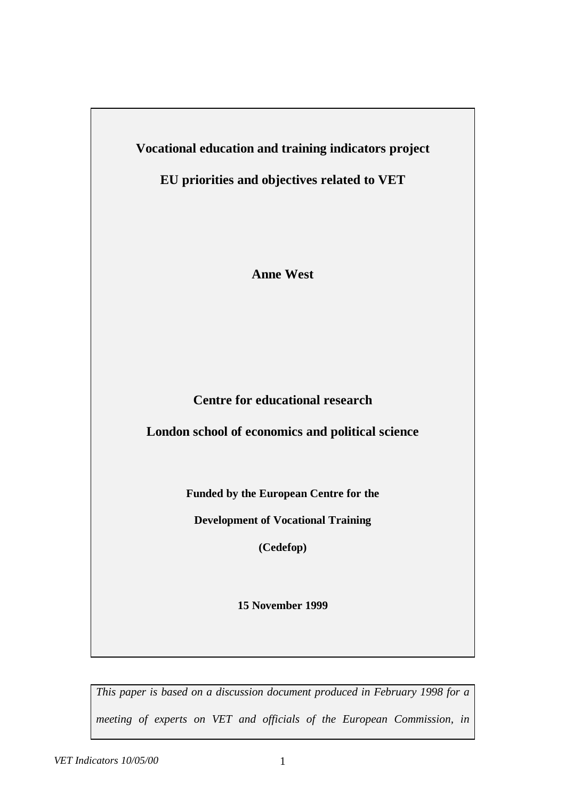**Vocational education and training indicators project**

**EU priorities and objectives related to VET**

**Anne West**

**Centre for educational research**

**London school of economics and political science**

**Funded by the European Centre for the**

**Development of Vocational Training**

**(Cedefop)**

**15 November 1999**

*This paper is based on a discussion document produced in February 1998 for a meeting of experts on VET and officials of the European Commission, in*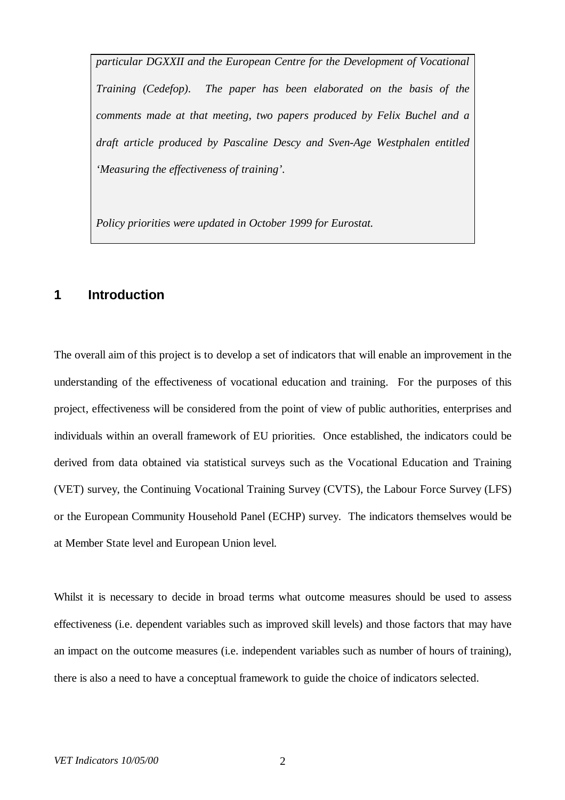*particular DGXXII and the European Centre for the Development of Vocational Training (Cedefop). The paper has been elaborated on the basis of the comments made at that meeting, two papers produced by Felix Buchel and a draft article produced by Pascaline Descy and Sven-Age Westphalen entitled 'Measuring the effectiveness of training'.*

*Policy priorities were updated in October 1999 for Eurostat.*

# **1 Introduction**

The overall aim of this project is to develop a set of indicators that will enable an improvement in the understanding of the effectiveness of vocational education and training. For the purposes of this project, effectiveness will be considered from the point of view of public authorities, enterprises and individuals within an overall framework of EU priorities. Once established, the indicators could be derived from data obtained via statistical surveys such as the Vocational Education and Training (VET) survey, the Continuing Vocational Training Survey (CVTS), the Labour Force Survey (LFS) or the European Community Household Panel (ECHP) survey. The indicators themselves would be at Member State level and European Union level.

Whilst it is necessary to decide in broad terms what outcome measures should be used to assess effectiveness (i.e. dependent variables such as improved skill levels) and those factors that may have an impact on the outcome measures (i.e. independent variables such as number of hours of training), there is also a need to have a conceptual framework to guide the choice of indicators selected.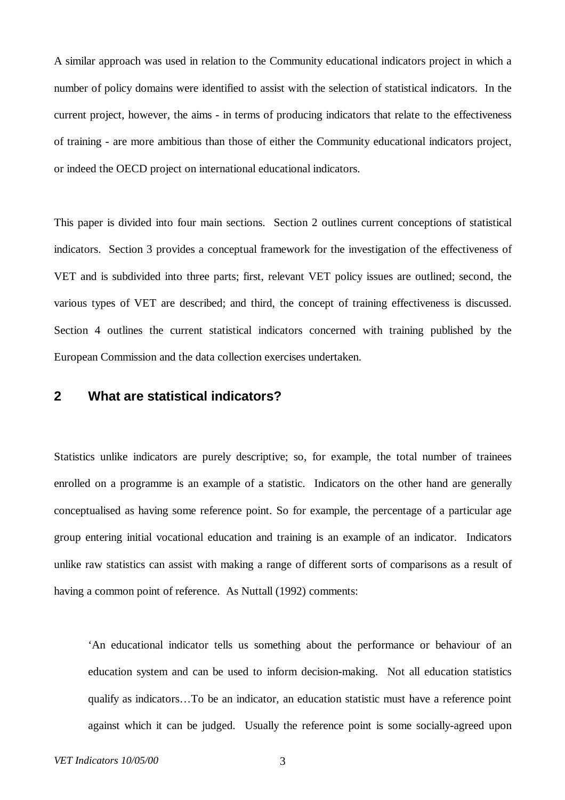A similar approach was used in relation to the Community educational indicators project in which a number of policy domains were identified to assist with the selection of statistical indicators. In the current project, however, the aims - in terms of producing indicators that relate to the effectiveness of training - are more ambitious than those of either the Community educational indicators project, or indeed the OECD project on international educational indicators.

This paper is divided into four main sections. Section 2 outlines current conceptions of statistical indicators. Section 3 provides a conceptual framework for the investigation of the effectiveness of VET and is subdivided into three parts; first, relevant VET policy issues are outlined; second, the various types of VET are described; and third, the concept of training effectiveness is discussed. Section 4 outlines the current statistical indicators concerned with training published by the European Commission and the data collection exercises undertaken.

# **2 What are statistical indicators?**

Statistics unlike indicators are purely descriptive; so, for example, the total number of trainees enrolled on a programme is an example of a statistic. Indicators on the other hand are generally conceptualised as having some reference point. So for example, the percentage of a particular age group entering initial vocational education and training is an example of an indicator. Indicators unlike raw statistics can assist with making a range of different sorts of comparisons as a result of having a common point of reference. As Nuttall (1992) comments:

'An educational indicator tells us something about the performance or behaviour of an education system and can be used to inform decision-making. Not all education statistics qualify as indicators… To be an indicator, an education statistic must have a reference point against which it can be judged. Usually the reference point is some socially-agreed upon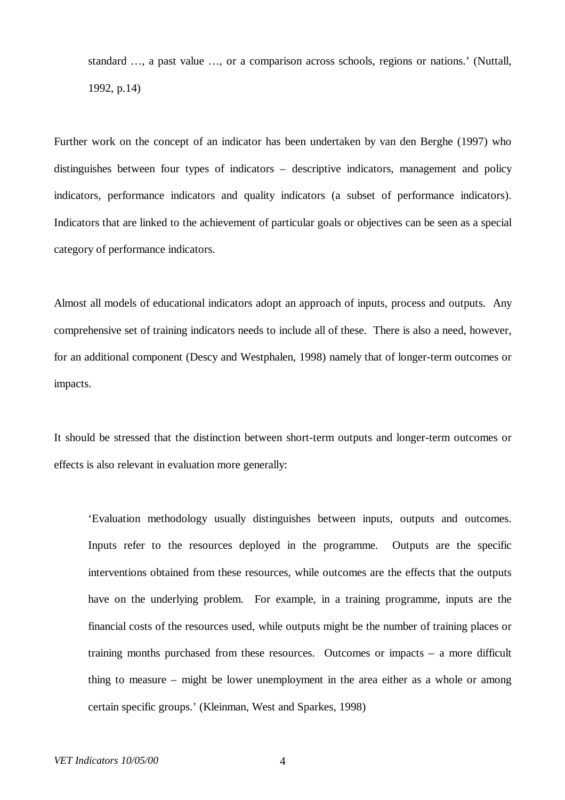standard … , a past value … , or a comparison across schools, regions or nations.' (Nuttall, 1992, p.14)

Further work on the concept of an indicator has been undertaken by van den Berghe (1997) who distinguishes between four types of indicators – descriptive indicators, management and policy indicators, performance indicators and quality indicators (a subset of performance indicators). Indicators that are linked to the achievement of particular goals or objectives can be seen as a special category of performance indicators.

Almost all models of educational indicators adopt an approach of inputs, process and outputs. Any comprehensive set of training indicators needs to include all of these. There is also a need, however, for an additional component (Descy and Westphalen, 1998) namely that of longer-term outcomes or impacts.

It should be stressed that the distinction between short-term outputs and longer-term outcomes or effects is also relevant in evaluation more generally:

'Evaluation methodology usually distinguishes between inputs, outputs and outcomes. Inputs refer to the resources deployed in the programme. Outputs are the specific interventions obtained from these resources, while outcomes are the effects that the outputs have on the underlying problem. For example, in a training programme, inputs are the financial costs of the resources used, while outputs might be the number of training places or training months purchased from these resources. Outcomes or impacts – a more difficult thing to measure – might be lower unemployment in the area either as a whole or among certain specific groups.' (Kleinman, West and Sparkes, 1998)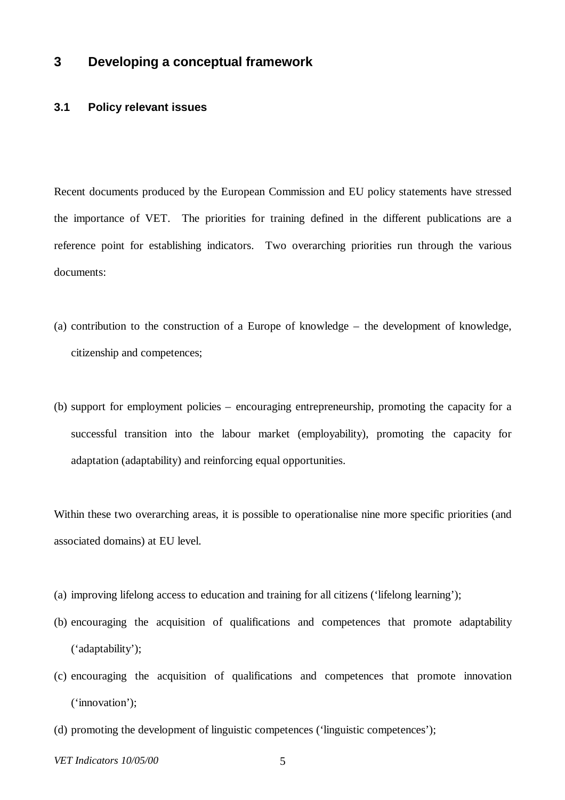# **3 Developing a conceptual framework**

### **3.1 Policy relevant issues**

Recent documents produced by the European Commission and EU policy statements have stressed the importance of VET. The priorities for training defined in the different publications are a reference point for establishing indicators. Two overarching priorities run through the various documents:

- (a) contribution to the construction of a Europe of knowledge the development of knowledge, citizenship and competences;
- (b) support for employment policies encouraging entrepreneurship, promoting the capacity for a successful transition into the labour market (employability), promoting the capacity for adaptation (adaptability) and reinforcing equal opportunities.

Within these two overarching areas, it is possible to operationalise nine more specific priorities (and associated domains) at EU level.

- (a) improving lifelong access to education and training for all citizens ('lifelong learning');
- (b) encouraging the acquisition of qualifications and competences that promote adaptability ('adaptability');
- (c) encouraging the acquisition of qualifications and competences that promote innovation ('innovation');
- (d) promoting the development of linguistic competences ('linguistic competences');
- *VET Indicators 10/05/00* 5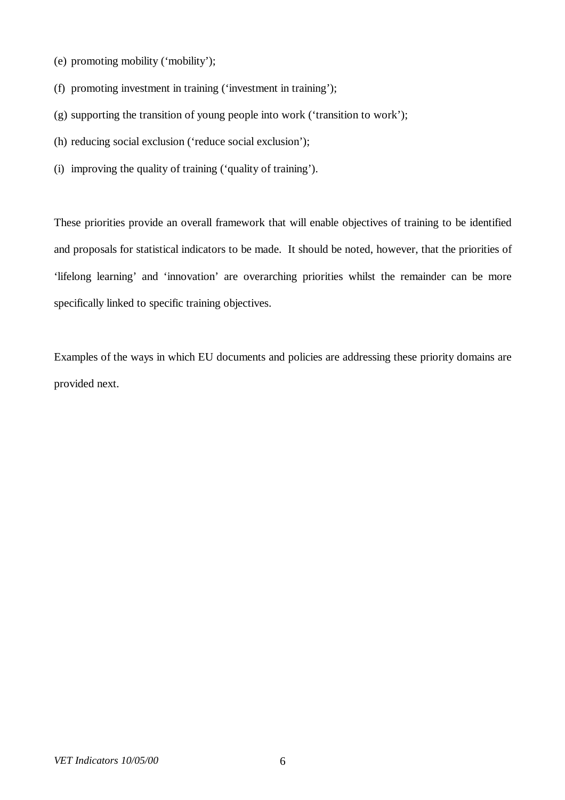- (e) promoting mobility ('mobility');
- (f) promoting investment in training ('investment in training');
- (g) supporting the transition of young people into work ('transition to work');
- (h) reducing social exclusion ('reduce social exclusion');
- (i) improving the quality of training ('quality of training').

These priorities provide an overall framework that will enable objectives of training to be identified and proposals for statistical indicators to be made. It should be noted, however, that the priorities of 'lifelong learning' and 'innovation' are overarching priorities whilst the remainder can be more specifically linked to specific training objectives.

Examples of the ways in which EU documents and policies are addressing these priority domains are provided next.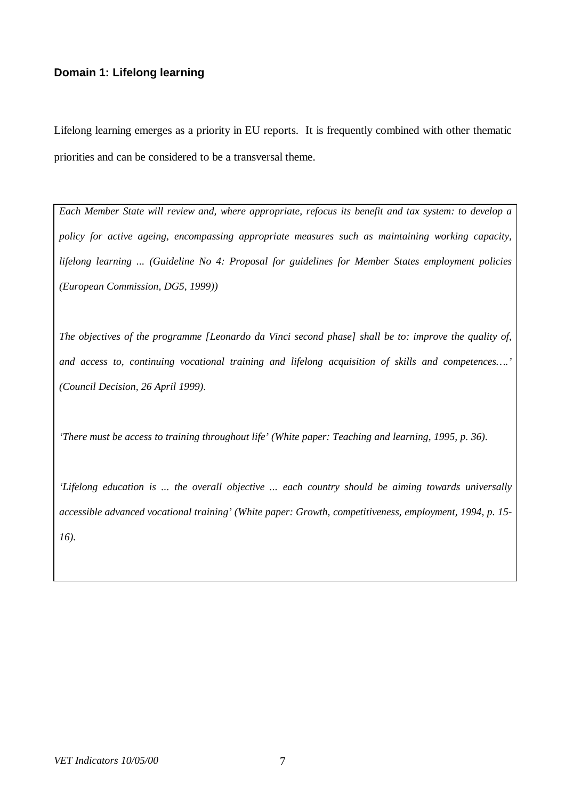# **Domain 1: Lifelong learning**

Lifelong learning emerges as a priority in EU reports. It is frequently combined with other thematic priorities and can be considered to be a transversal theme.

*Each Member State will review and, where appropriate, refocus its benefit and tax system: to develop a policy for active ageing, encompassing appropriate measures such as maintaining working capacity, lifelong learning ... (Guideline No 4: Proposal for guidelines for Member States employment policies (European Commission, DG5, 1999))*

*The objectives of the programme [Leonardo da Vinci second phase] shall be to: improve the quality of, and access to, continuing vocational training and lifelong acquisition of skills and competences… .' (Council Decision, 26 April 1999).*

*'There must be access to training throughout life' (White paper: Teaching and learning, 1995, p. 36).*

*'Lifelong education is ... the overall objective ... each country should be aiming towards universally accessible advanced vocational training' (White paper: Growth, competitiveness, employment, 1994, p. 15- 16).*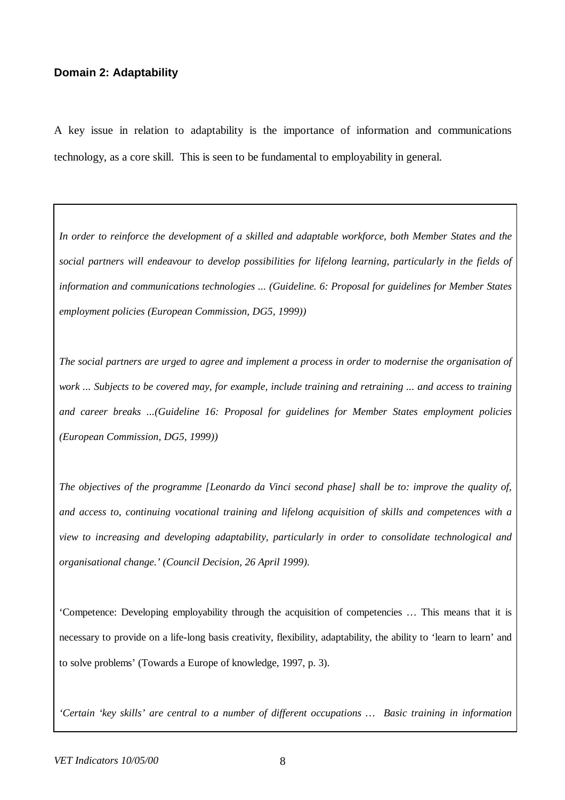### **Domain 2: Adaptability**

A key issue in relation to adaptability is the importance of information and communications technology, as a core skill. This is seen to be fundamental to employability in general.

*In order to reinforce the development of a skilled and adaptable workforce, both Member States and the social partners will endeavour to develop possibilities for lifelong learning, particularly in the fields of information and communications technologies ... (Guideline. 6: Proposal for guidelines for Member States employment policies (European Commission, DG5, 1999))*

*The social partners are urged to agree and implement a process in order to modernise the organisation of work ... Subjects to be covered may, for example, include training and retraining ... and access to training and career breaks ...(Guideline 16: Proposal for guidelines for Member States employment policies (European Commission, DG5, 1999))*

*The objectives of the programme [Leonardo da Vinci second phase] shall be to: improve the quality of, and access to, continuing vocational training and lifelong acquisition of skills and competences with a view to increasing and developing adaptability, particularly in order to consolidate technological and organisational change.' (Council Decision, 26 April 1999).*

'Competence: Developing employability through the acquisition of competencies … This means that it is necessary to provide on a life-long basis creativity, flexibility, adaptability, the ability to 'learn to learn' and to solve problems' (Towards a Europe of knowledge, 1997, p. 3).

*'Certain 'key skills' are central to a number of different occupations … Basic training in information*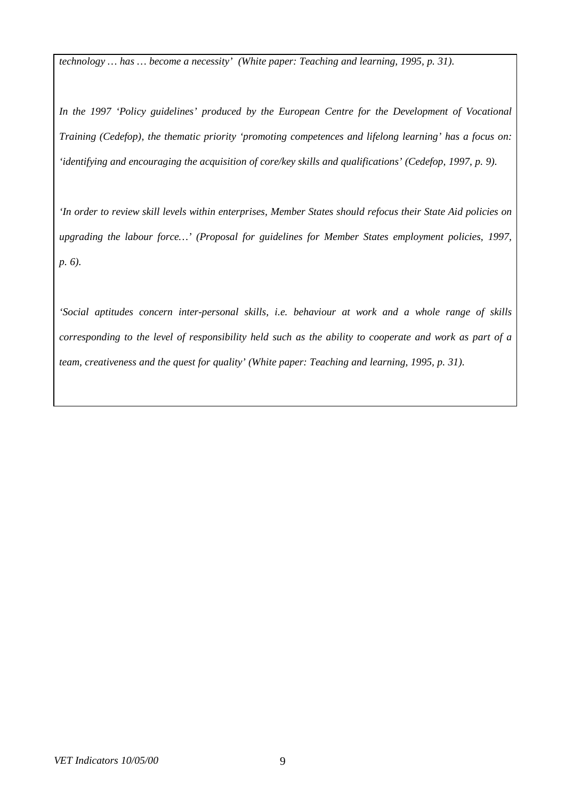*technology … has … become a necessity' (White paper: Teaching and learning, 1995, p. 31).*

*In the 1997 'Policy guidelines' produced by the European Centre for the Development of Vocational Training (Cedefop), the thematic priority 'promoting competences and lifelong learning' has a focus on: 'identifying and encouraging the acquisition of core/key skills and qualifications' (Cedefop, 1997, p. 9).*

*'In order to review skill levels within enterprises, Member States should refocus their State Aid policies on upgrading the labour force… ' (Proposal for guidelines for Member States employment policies, 1997, p. 6).*

*'Social aptitudes concern inter-personal skills, i.e. behaviour at work and a whole range of skills corresponding to the level of responsibility held such as the ability to cooperate and work as part of a team, creativeness and the quest for quality' (White paper: Teaching and learning, 1995, p. 31).*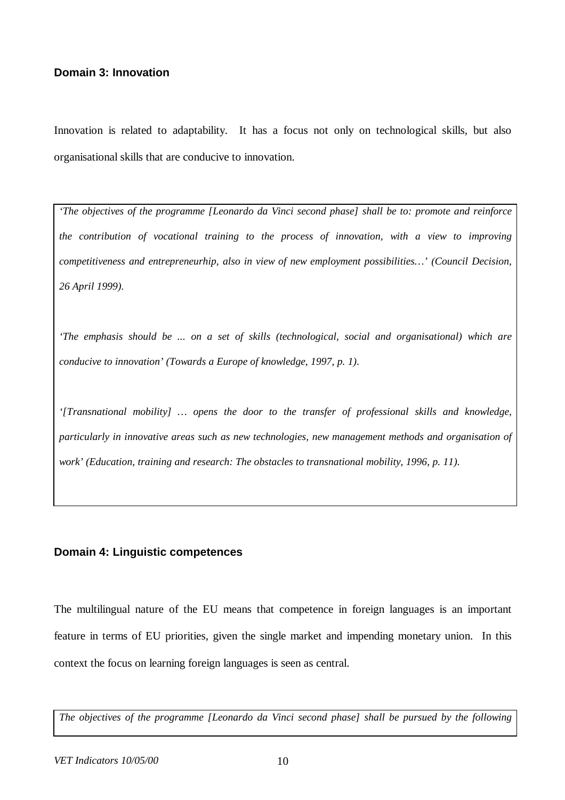## **Domain 3: Innovation**

Innovation is related to adaptability. It has a focus not only on technological skills, but also organisational skills that are conducive to innovation.

*'The objectives of the programme [Leonardo da Vinci second phase] shall be to: promote and reinforce the contribution of vocational training to the process of innovation, with a view to improving competitiveness and entrepreneurhip, also in view of new employment possibilities… ' (Council Decision, 26 April 1999).*

*'The emphasis should be ... on a set of skills (technological, social and organisational) which are conducive to innovation' (Towards a Europe of knowledge, 1997, p. 1).*

*'[Transnational mobility] … opens the door to the transfer of professional skills and knowledge, particularly in innovative areas such as new technologies, new management methods and organisation of work' (Education, training and research: The obstacles to transnational mobility, 1996, p. 11).*

#### **Domain 4: Linguistic competences**

The multilingual nature of the EU means that competence in foreign languages is an important feature in terms of EU priorities, given the single market and impending monetary union. In this context the focus on learning foreign languages is seen as central.

*The objectives of the programme [Leonardo da Vinci second phase] shall be pursued by the following*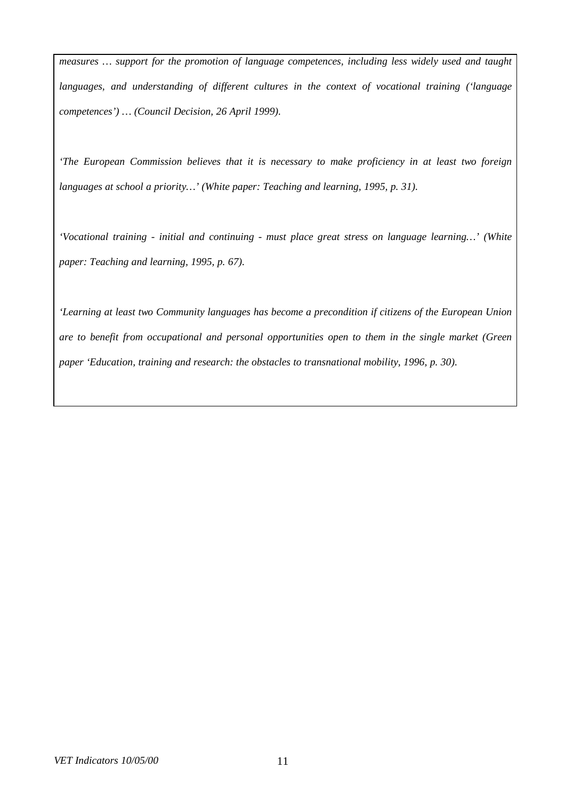*measures … support for the promotion of language competences, including less widely used and taught languages, and understanding of different cultures in the context of vocational training ('language competences') … (Council Decision, 26 April 1999).*

*'The European Commission believes that it is necessary to make proficiency in at least two foreign languages at school a priority… ' (White paper: Teaching and learning, 1995, p. 31).*

*'Vocational training - initial and continuing - must place great stress on language learning… ' (White paper: Teaching and learning, 1995, p. 67).*

*'Learning at least two Community languages has become a precondition if citizens of the European Union are to benefit from occupational and personal opportunities open to them in the single market (Green paper 'Education, training and research: the obstacles to transnational mobility, 1996, p. 30).*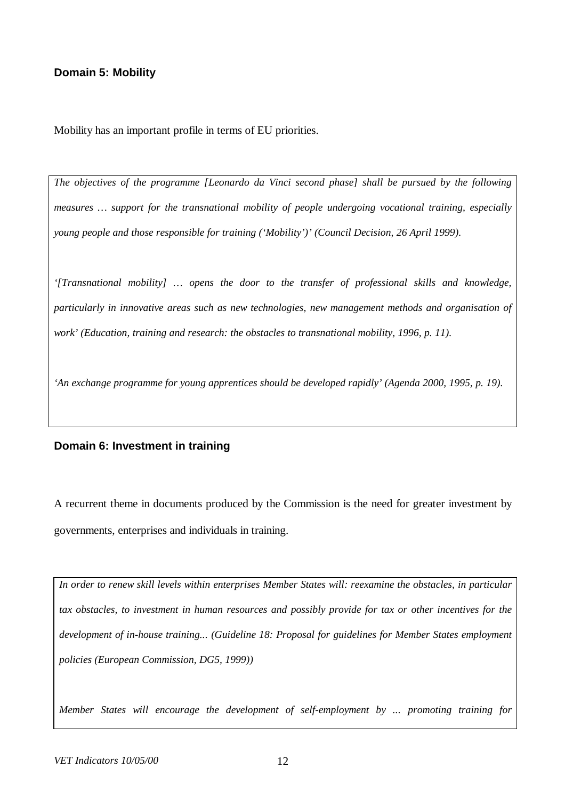# **Domain 5: Mobility**

Mobility has an important profile in terms of EU priorities.

*The objectives of the programme [Leonardo da Vinci second phase] shall be pursued by the following measures … support for the transnational mobility of people undergoing vocational training, especially young people and those responsible for training ('Mobility')' (Council Decision, 26 April 1999).*

*'[Transnational mobility] … opens the door to the transfer of professional skills and knowledge, particularly in innovative areas such as new technologies, new management methods and organisation of work' (Education, training and research: the obstacles to transnational mobility, 1996, p. 11).*

*'An exchange programme for young apprentices should be developed rapidly' (Agenda 2000, 1995, p. 19).*

#### **Domain 6: Investment in training**

A recurrent theme in documents produced by the Commission is the need for greater investment by governments, enterprises and individuals in training.

*In order to renew skill levels within enterprises Member States will: reexamine the obstacles, in particular tax obstacles, to investment in human resources and possibly provide for tax or other incentives for the development of in-house training... (Guideline 18: Proposal for guidelines for Member States employment policies (European Commission, DG5, 1999))*

*Member States will encourage the development of self-employment by ... promoting training for*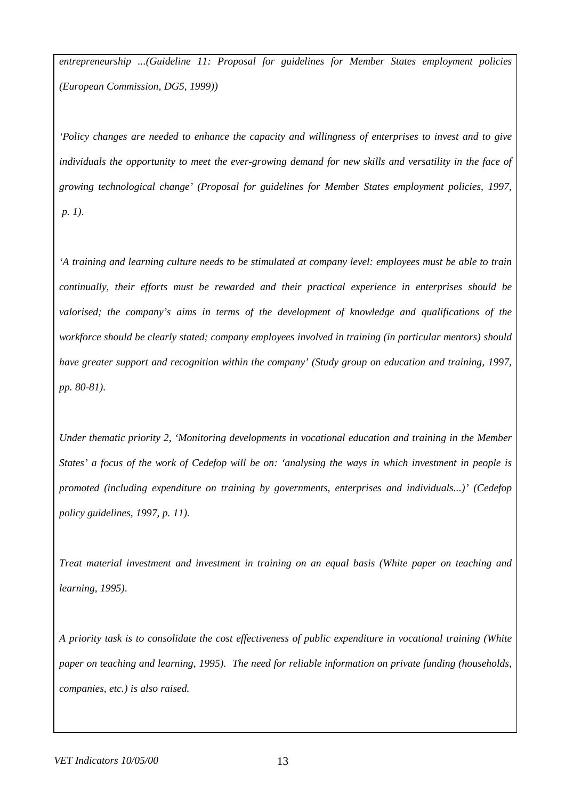*entrepreneurship ...(Guideline 11: Proposal for guidelines for Member States employment policies (European Commission, DG5, 1999))*

*'Policy changes are needed to enhance the capacity and willingness of enterprises to invest and to give individuals the opportunity to meet the ever-growing demand for new skills and versatility in the face of growing technological change' (Proposal for guidelines for Member States employment policies, 1997, p. 1).*

*'A training and learning culture needs to be stimulated at company level: employees must be able to train continually, their efforts must be rewarded and their practical experience in enterprises should be valorised; the company's aims in terms of the development of knowledge and qualifications of the workforce should be clearly stated; company employees involved in training (in particular mentors) should have greater support and recognition within the company' (Study group on education and training, 1997, pp. 80-81).*

*Under thematic priority 2, 'Monitoring developments in vocational education and training in the Member States' a focus of the work of Cedefop will be on: 'analysing the ways in which investment in people is promoted (including expenditure on training by governments, enterprises and individuals...)' (Cedefop policy guidelines, 1997, p. 11).*

*Treat material investment and investment in training on an equal basis (White paper on teaching and learning, 1995).*

*A priority task is to consolidate the cost effectiveness of public expenditure in vocational training (White paper on teaching and learning, 1995). The need for reliable information on private funding (households, companies, etc.) is also raised.*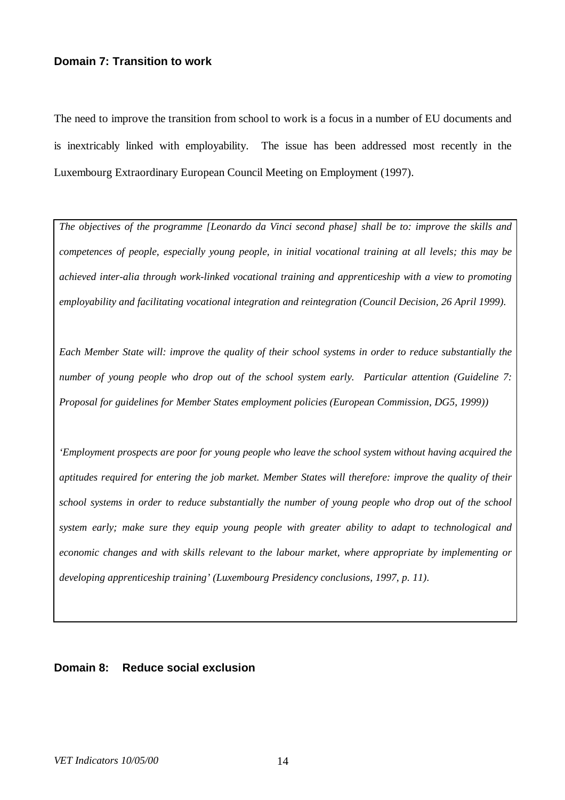# **Domain 7: Transition to work**

The need to improve the transition from school to work is a focus in a number of EU documents and is inextricably linked with employability. The issue has been addressed most recently in the Luxembourg Extraordinary European Council Meeting on Employment (1997).

*The objectives of the programme [Leonardo da Vinci second phase] shall be to: improve the skills and competences of people, especially young people, in initial vocational training at all levels; this may be achieved inter-alia through work-linked vocational training and apprenticeship with a view to promoting employability and facilitating vocational integration and reintegration (Council Decision, 26 April 1999).*

*Each Member State will: improve the quality of their school systems in order to reduce substantially the number of young people who drop out of the school system early. Particular attention (Guideline 7: Proposal for guidelines for Member States employment policies (European Commission, DG5, 1999))*

*'Employment prospects are poor for young people who leave the school system without having acquired the aptitudes required for entering the job market. Member States will therefore: improve the quality of their school systems in order to reduce substantially the number of young people who drop out of the school system early; make sure they equip young people with greater ability to adapt to technological and economic changes and with skills relevant to the labour market, where appropriate by implementing or developing apprenticeship training' (Luxembourg Presidency conclusions, 1997, p. 11).*

### **Domain 8: Reduce social exclusion**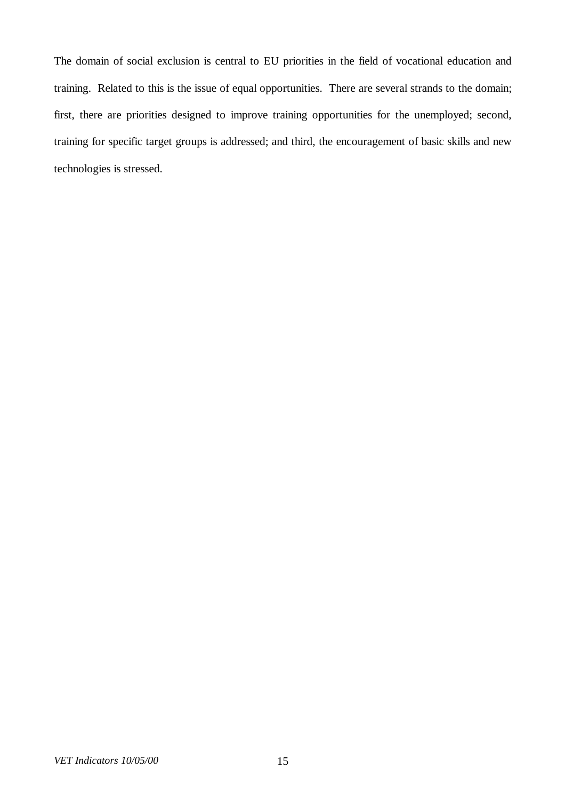The domain of social exclusion is central to EU priorities in the field of vocational education and training. Related to this is the issue of equal opportunities. There are several strands to the domain; first, there are priorities designed to improve training opportunities for the unemployed; second, training for specific target groups is addressed; and third, the encouragement of basic skills and new technologies is stressed.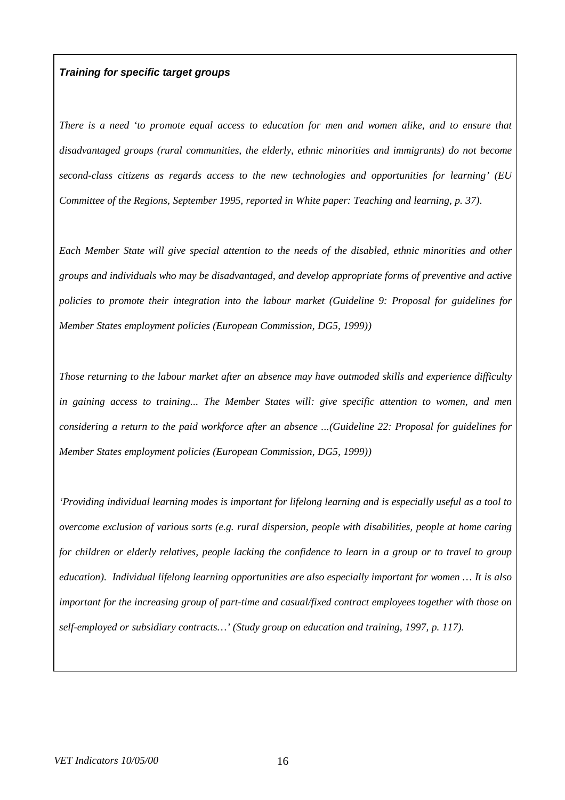### *Training for specific target groups*

*There is a need 'to promote equal access to education for men and women alike, and to ensure that disadvantaged groups (rural communities, the elderly, ethnic minorities and immigrants) do not become second-class citizens as regards access to the new technologies and opportunities for learning' (EU Committee of the Regions, September 1995, reported in White paper: Teaching and learning, p. 37).*

*Each Member State will give special attention to the needs of the disabled, ethnic minorities and other groups and individuals who may be disadvantaged, and develop appropriate forms of preventive and active policies to promote their integration into the labour market (Guideline 9: Proposal for guidelines for Member States employment policies (European Commission, DG5, 1999))*

*Those returning to the labour market after an absence may have outmoded skills and experience difficulty in gaining access to training... The Member States will: give specific attention to women, and men considering a return to the paid workforce after an absence ...(Guideline 22: Proposal for guidelines for Member States employment policies (European Commission, DG5, 1999))*

*'Providing individual learning modes is important for lifelong learning and is especially useful as a tool to overcome exclusion of various sorts (e.g. rural dispersion, people with disabilities, people at home caring for children or elderly relatives, people lacking the confidence to learn in a group or to travel to group education). Individual lifelong learning opportunities are also especially important for women … It is also important for the increasing group of part-time and casual/fixed contract employees together with those on self-employed or subsidiary contracts… ' (Study group on education and training, 1997, p. 117).*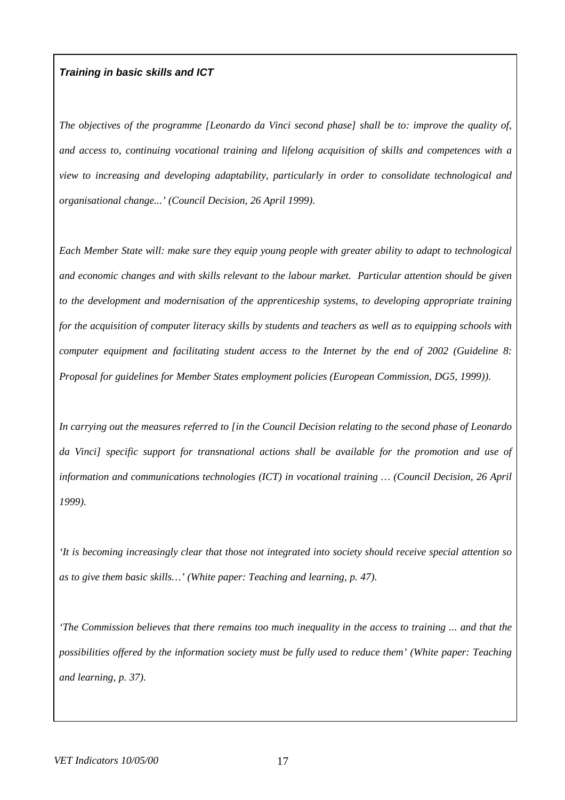#### *Training in basic skills and ICT*

*The objectives of the programme [Leonardo da Vinci second phase] shall be to: improve the quality of, and access to, continuing vocational training and lifelong acquisition of skills and competences with a view to increasing and developing adaptability, particularly in order to consolidate technological and organisational change...' (Council Decision, 26 April 1999).*

*Each Member State will: make sure they equip young people with greater ability to adapt to technological and economic changes and with skills relevant to the labour market. Particular attention should be given to the development and modernisation of the apprenticeship systems, to developing appropriate training for the acquisition of computer literacy skills by students and teachers as well as to equipping schools with computer equipment and facilitating student access to the Internet by the end of 2002 (Guideline 8: Proposal for guidelines for Member States employment policies (European Commission, DG5, 1999)).*

*In carrying out the measures referred to [in the Council Decision relating to the second phase of Leonardo da Vinci] specific support for transnational actions shall be available for the promotion and use of information and communications technologies (ICT) in vocational training … (Council Decision, 26 April 1999).*

*'It is becoming increasingly clear that those not integrated into society should receive special attention so as to give them basic skills… ' (White paper: Teaching and learning, p. 47).*

*'The Commission believes that there remains too much inequality in the access to training ... and that the possibilities offered by the information society must be fully used to reduce them' (White paper: Teaching and learning, p. 37).*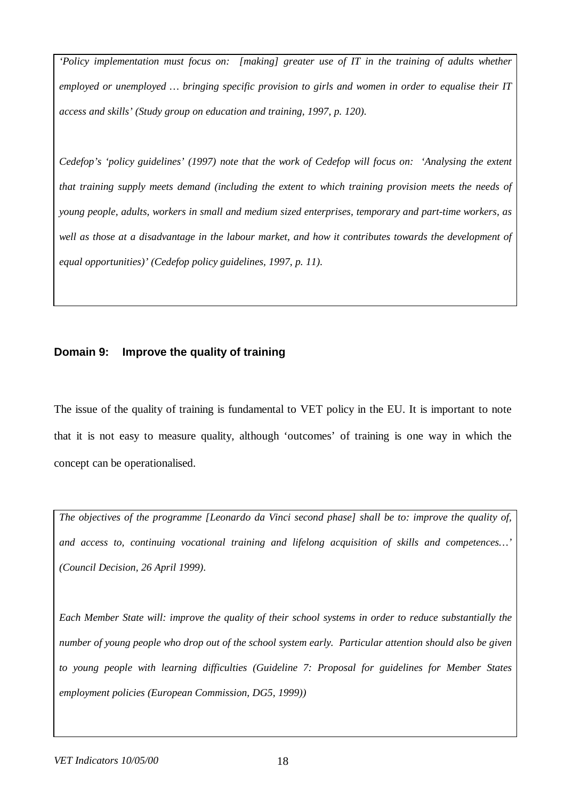*'Policy implementation must focus on: [making] greater use of IT in the training of adults whether employed or unemployed … bringing specific provision to girls and women in order to equalise their IT access and skills' (Study group on education and training, 1997, p. 120).*

*Cedefop's 'policy guidelines' (1997) note that the work of Cedefop will focus on: 'Analysing the extent that training supply meets demand (including the extent to which training provision meets the needs of young people, adults, workers in small and medium sized enterprises, temporary and part-time workers, as well as those at a disadvantage in the labour market, and how it contributes towards the development of equal opportunities)' (Cedefop policy guidelines, 1997, p. 11).*

# **Domain 9: Improve the quality of training**

The issue of the quality of training is fundamental to VET policy in the EU. It is important to note that it is not easy to measure quality, although 'outcomes' of training is one way in which the concept can be operationalised.

*The objectives of the programme [Leonardo da Vinci second phase] shall be to: improve the quality of, and access to, continuing vocational training and lifelong acquisition of skills and competences… ' (Council Decision, 26 April 1999).*

*Each Member State will: improve the quality of their school systems in order to reduce substantially the number of young people who drop out of the school system early. Particular attention should also be given to young people with learning difficulties (Guideline 7: Proposal for guidelines for Member States employment policies (European Commission, DG5, 1999))*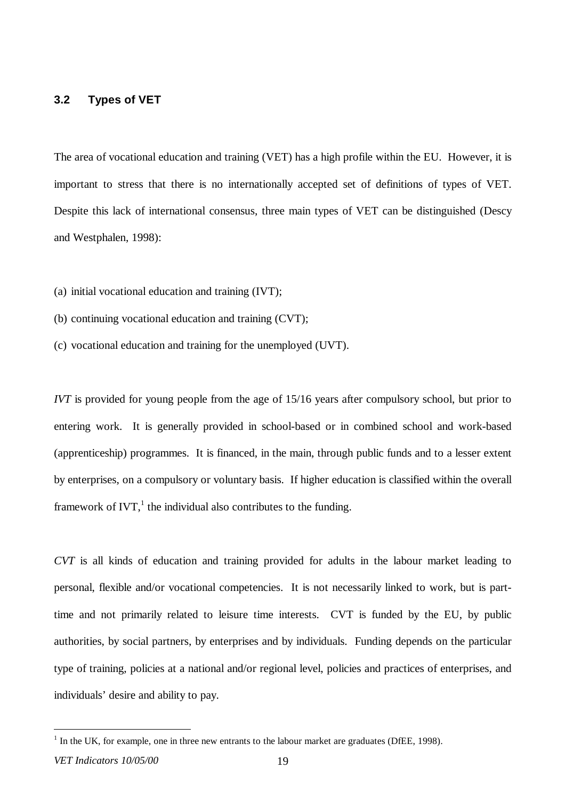### **3.2 Types of VET**

The area of vocational education and training (VET) has a high profile within the EU. However, it is important to stress that there is no internationally accepted set of definitions of types of VET. Despite this lack of international consensus, three main types of VET can be distinguished (Descy and Westphalen, 1998):

- (a) initial vocational education and training (IVT);
- (b) continuing vocational education and training (CVT);
- (c) vocational education and training for the unemployed (UVT).

*IVT* is provided for young people from the age of 15/16 years after compulsory school, but prior to entering work. It is generally provided in school-based or in combined school and work-based (apprenticeship) programmes. It is financed, in the main, through public funds and to a lesser extent by enterprises, on a compulsory or voluntary basis. If higher education is classified within the overall framework of IVT, $<sup>1</sup>$  the individual also contributes to the funding.</sup>

*CVT* is all kinds of education and training provided for adults in the labour market leading to personal, flexible and/or vocational competencies. It is not necessarily linked to work, but is parttime and not primarily related to leisure time interests. CVT is funded by the EU, by public authorities, by social partners, by enterprises and by individuals. Funding depends on the particular type of training, policies at a national and/or regional level, policies and practices of enterprises, and individuals' desire and ability to pay.

 $\overline{a}$ 

 $<sup>1</sup>$  In the UK, for example, one in three new entrants to the labour market are graduates (DfEE, 1998).</sup>

*VET Indicators 10/05/00* 19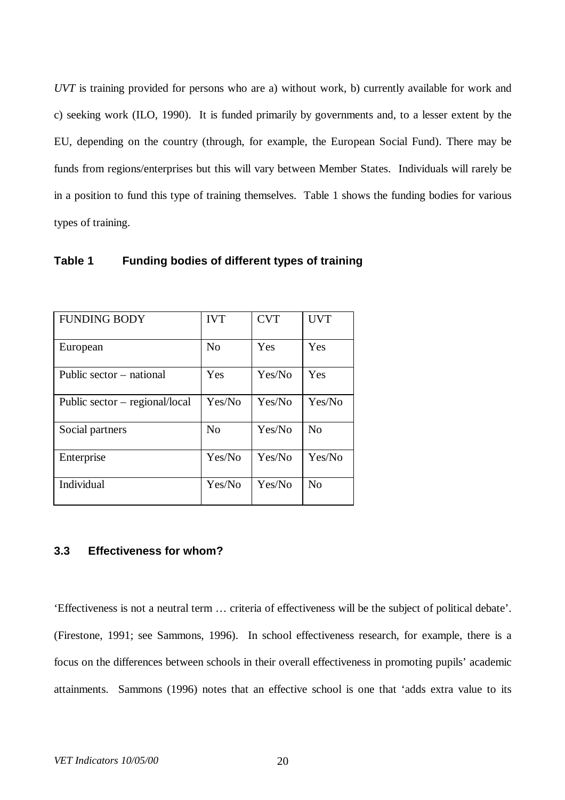*UVT* is training provided for persons who are a) without work, b) currently available for work and c) seeking work (ILO, 1990). It is funded primarily by governments and, to a lesser extent by the EU, depending on the country (through, for example, the European Social Fund). There may be funds from regions/enterprises but this will vary between Member States. Individuals will rarely be in a position to fund this type of training themselves. Table 1 shows the funding bodies for various types of training.

| <b>FUNDING BODY</b>              | <b>IVT</b>     | <b>CVT</b> | <b>UVT</b>     |
|----------------------------------|----------------|------------|----------------|
| European                         | N <sub>0</sub> | Yes        | Yes            |
| Public sector – national         | Yes            | Yes/No     | Yes            |
| Public sector $-$ regional/local | Yes/No         | Yes/No     | Yes/No         |
| Social partners                  | N <sub>0</sub> | Yes/No     | N <sub>0</sub> |
| Enterprise                       | Yes/No         | Yes/No     | Yes/No         |
| Individual                       | Yes/No         | Yes/No     | No             |

**Table 1 Funding bodies of different types of training**

# **3.3 Effectiveness for whom?**

'Effectiveness is not a neutral term … criteria of effectiveness will be the subject of political debate'. (Firestone, 1991; see Sammons, 1996). In school effectiveness research, for example, there is a focus on the differences between schools in their overall effectiveness in promoting pupils' academic attainments. Sammons (1996) notes that an effective school is one that 'adds extra value to its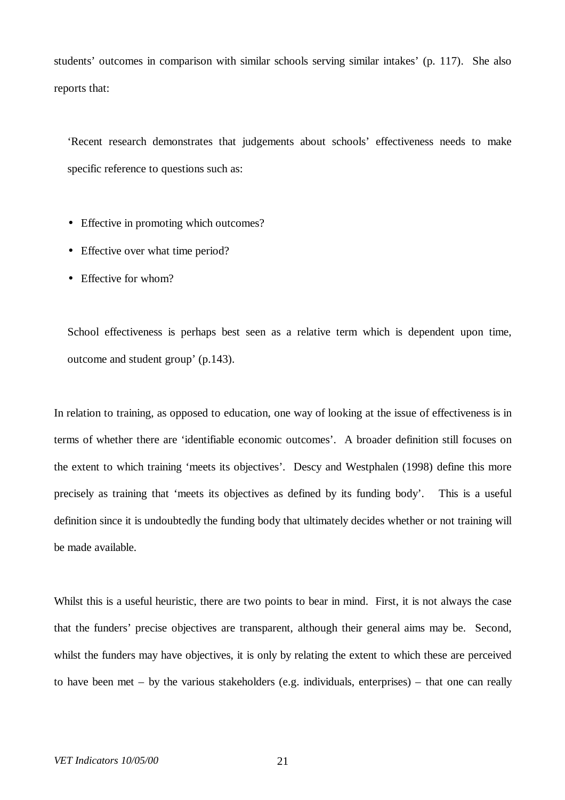students' outcomes in comparison with similar schools serving similar intakes' (p. 117). She also reports that:

'Recent research demonstrates that judgements about schools' effectiveness needs to make specific reference to questions such as:

- Effective in promoting which outcomes?
- Effective over what time period?
- Effective for whom?

School effectiveness is perhaps best seen as a relative term which is dependent upon time, outcome and student group' (p.143).

In relation to training, as opposed to education, one way of looking at the issue of effectiveness is in terms of whether there are 'identifiable economic outcomes'. A broader definition still focuses on the extent to which training 'meets its objectives'. Descy and Westphalen (1998) define this more precisely as training that 'meets its objectives as defined by its funding body'. This is a useful definition since it is undoubtedly the funding body that ultimately decides whether or not training will be made available.

Whilst this is a useful heuristic, there are two points to bear in mind. First, it is not always the case that the funders' precise objectives are transparent, although their general aims may be. Second, whilst the funders may have objectives, it is only by relating the extent to which these are perceived to have been met – by the various stakeholders (e.g. individuals, enterprises) – that one can really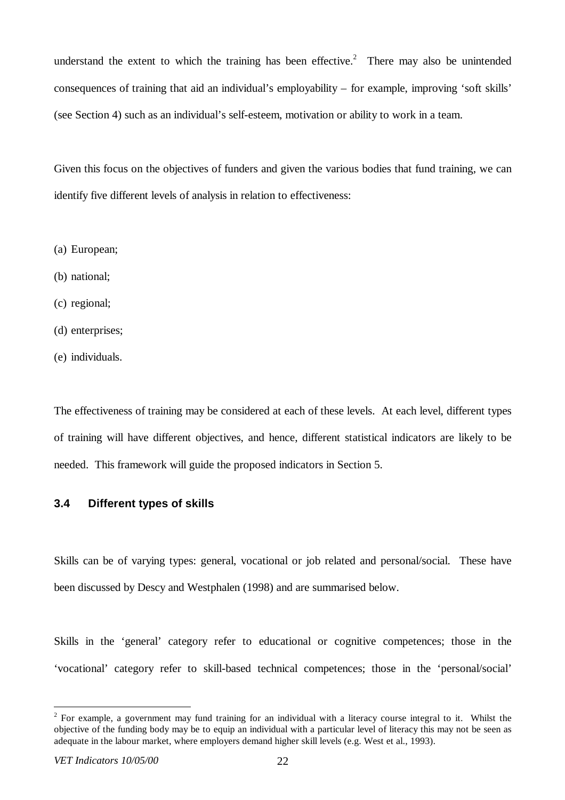understand the extent to which the training has been effective.<sup>2</sup> There may also be unintended consequences of training that aid an individual's employability – for example, improving 'soft skills' (see Section 4) such as an individual's self-esteem, motivation or ability to work in a team.

Given this focus on the objectives of funders and given the various bodies that fund training, we can identify five different levels of analysis in relation to effectiveness:

- (a) European;
- (b) national;
- (c) regional;
- (d) enterprises;
- (e) individuals.

The effectiveness of training may be considered at each of these levels. At each level, different types of training will have different objectives, and hence, different statistical indicators are likely to be needed. This framework will guide the proposed indicators in Section 5.

## **3.4 Different types of skills**

Skills can be of varying types: general, vocational or job related and personal/social. These have been discussed by Descy and Westphalen (1998) and are summarised below.

Skills in the 'general' category refer to educational or cognitive competences; those in the 'vocational' category refer to skill-based technical competences; those in the 'personal/social'

 $\overline{a}$ 

 $2^2$  For example, a government may fund training for an individual with a literacy course integral to it. Whilst the objective of the funding body may be to equip an individual with a particular level of literacy this may not be seen as adequate in the labour market, where employers demand higher skill levels (e.g. West et al., 1993).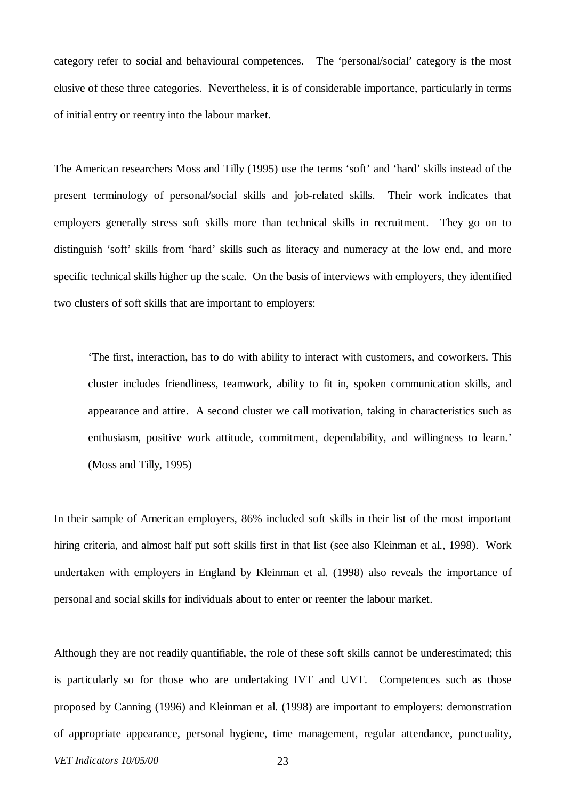category refer to social and behavioural competences. The 'personal/social' category is the most elusive of these three categories. Nevertheless, it is of considerable importance, particularly in terms of initial entry or reentry into the labour market.

The American researchers Moss and Tilly (1995) use the terms 'soft' and 'hard' skills instead of the present terminology of personal/social skills and job-related skills. Their work indicates that employers generally stress soft skills more than technical skills in recruitment. They go on to distinguish 'soft' skills from 'hard' skills such as literacy and numeracy at the low end, and more specific technical skills higher up the scale. On the basis of interviews with employers, they identified two clusters of soft skills that are important to employers:

'The first, interaction, has to do with ability to interact with customers, and coworkers. This cluster includes friendliness, teamwork, ability to fit in, spoken communication skills, and appearance and attire. A second cluster we call motivation, taking in characteristics such as enthusiasm, positive work attitude, commitment, dependability, and willingness to learn.' (Moss and Tilly, 1995)

In their sample of American employers, 86% included soft skills in their list of the most important hiring criteria, and almost half put soft skills first in that list (see also Kleinman et al., 1998). Work undertaken with employers in England by Kleinman et al. (1998) also reveals the importance of personal and social skills for individuals about to enter or reenter the labour market.

Although they are not readily quantifiable, the role of these soft skills cannot be underestimated; this is particularly so for those who are undertaking IVT and UVT. Competences such as those proposed by Canning (1996) and Kleinman et al. (1998) are important to employers: demonstration of appropriate appearance, personal hygiene, time management, regular attendance, punctuality,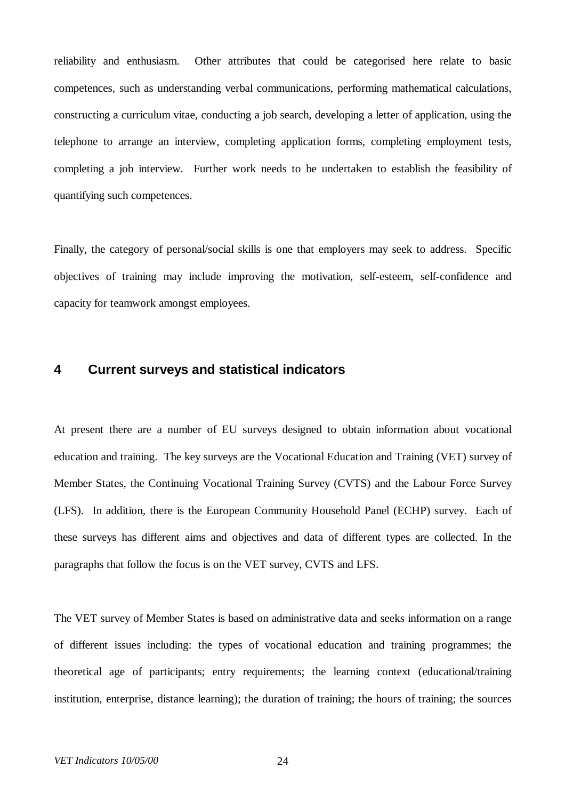reliability and enthusiasm. Other attributes that could be categorised here relate to basic competences, such as understanding verbal communications, performing mathematical calculations, constructing a curriculum vitae, conducting a job search, developing a letter of application, using the telephone to arrange an interview, completing application forms, completing employment tests, completing a job interview. Further work needs to be undertaken to establish the feasibility of quantifying such competences.

Finally, the category of personal/social skills is one that employers may seek to address. Specific objectives of training may include improving the motivation, self-esteem, self-confidence and capacity for teamwork amongst employees.

# **4 Current surveys and statistical indicators**

At present there are a number of EU surveys designed to obtain information about vocational education and training. The key surveys are the Vocational Education and Training (VET) survey of Member States, the Continuing Vocational Training Survey (CVTS) and the Labour Force Survey (LFS). In addition, there is the European Community Household Panel (ECHP) survey. Each of these surveys has different aims and objectives and data of different types are collected. In the paragraphs that follow the focus is on the VET survey, CVTS and LFS.

The VET survey of Member States is based on administrative data and seeks information on a range of different issues including: the types of vocational education and training programmes; the theoretical age of participants; entry requirements; the learning context (educational/training institution, enterprise, distance learning); the duration of training; the hours of training; the sources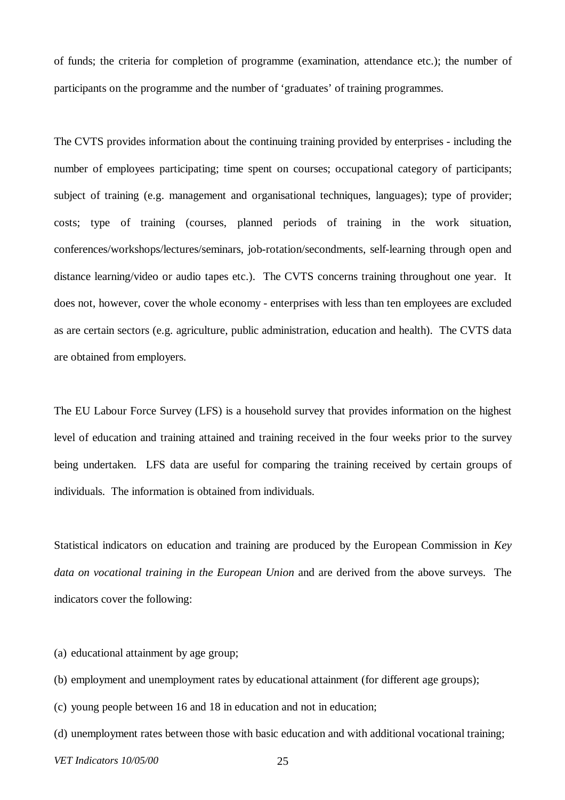of funds; the criteria for completion of programme (examination, attendance etc.); the number of participants on the programme and the number of 'graduates' of training programmes.

The CVTS provides information about the continuing training provided by enterprises - including the number of employees participating; time spent on courses; occupational category of participants; subject of training (e.g. management and organisational techniques, languages); type of provider; costs; type of training (courses, planned periods of training in the work situation, conferences/workshops/lectures/seminars, job-rotation/secondments, self-learning through open and distance learning/video or audio tapes etc.). The CVTS concerns training throughout one year. It does not, however, cover the whole economy - enterprises with less than ten employees are excluded as are certain sectors (e.g. agriculture, public administration, education and health). The CVTS data are obtained from employers.

The EU Labour Force Survey (LFS) is a household survey that provides information on the highest level of education and training attained and training received in the four weeks prior to the survey being undertaken. LFS data are useful for comparing the training received by certain groups of individuals. The information is obtained from individuals.

Statistical indicators on education and training are produced by the European Commission in *Key data on vocational training in the European Union* and are derived from the above surveys. The indicators cover the following:

- (a) educational attainment by age group;
- (b) employment and unemployment rates by educational attainment (for different age groups);
- (c) young people between 16 and 18 in education and not in education;
- (d) unemployment rates between those with basic education and with additional vocational training;
- *VET Indicators 10/05/00* 25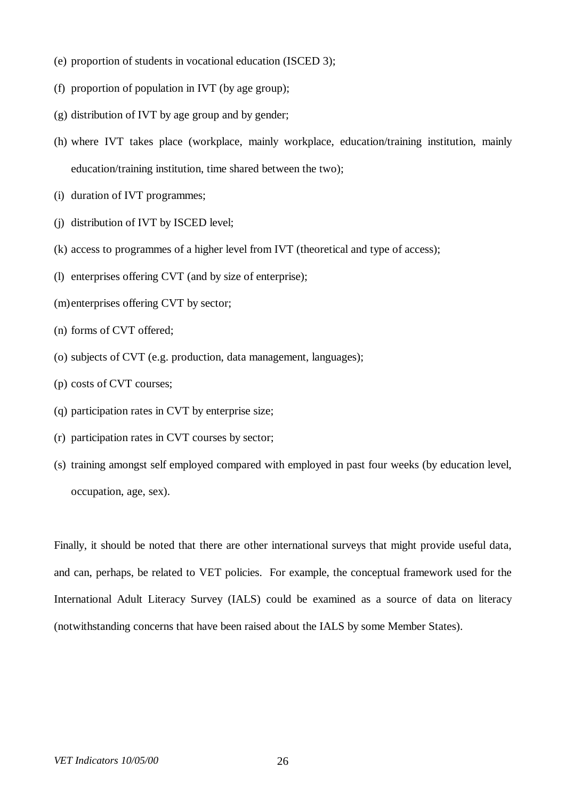- (e) proportion of students in vocational education (ISCED 3);
- (f) proportion of population in IVT (by age group);
- (g) distribution of IVT by age group and by gender;
- (h) where IVT takes place (workplace, mainly workplace, education/training institution, mainly education/training institution, time shared between the two);
- (i) duration of IVT programmes;
- (j) distribution of IVT by ISCED level;
- (k) access to programmes of a higher level from IVT (theoretical and type of access);
- (l) enterprises offering CVT (and by size of enterprise);
- (m)enterprises offering CVT by sector;
- (n) forms of CVT offered;
- (o) subjects of CVT (e.g. production, data management, languages);
- (p) costs of CVT courses;
- (q) participation rates in CVT by enterprise size;
- (r) participation rates in CVT courses by sector;
- (s) training amongst self employed compared with employed in past four weeks (by education level, occupation, age, sex).

Finally, it should be noted that there are other international surveys that might provide useful data, and can, perhaps, be related to VET policies. For example, the conceptual framework used for the International Adult Literacy Survey (IALS) could be examined as a source of data on literacy (notwithstanding concerns that have been raised about the IALS by some Member States).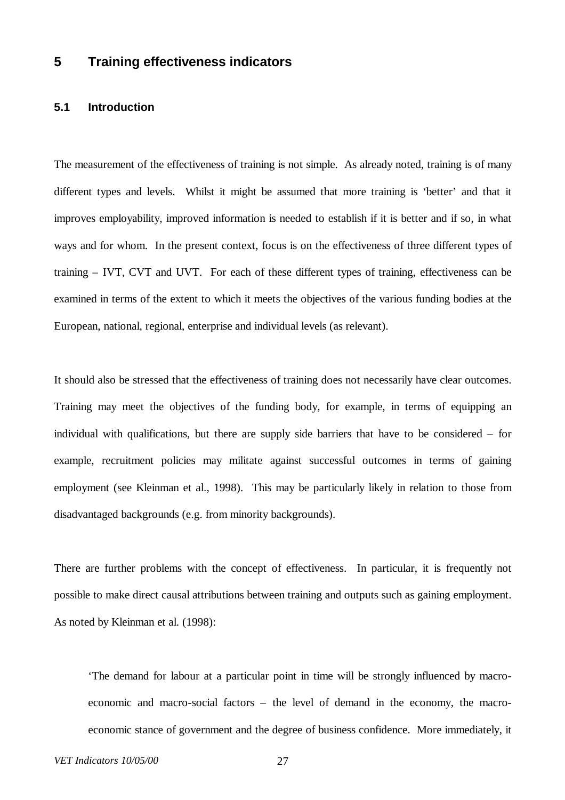# **5 Training effectiveness indicators**

# **5.1 Introduction**

The measurement of the effectiveness of training is not simple. As already noted, training is of many different types and levels. Whilst it might be assumed that more training is 'better' and that it improves employability, improved information is needed to establish if it is better and if so, in what ways and for whom. In the present context, focus is on the effectiveness of three different types of training – IVT, CVT and UVT. For each of these different types of training, effectiveness can be examined in terms of the extent to which it meets the objectives of the various funding bodies at the European, national, regional, enterprise and individual levels (as relevant).

It should also be stressed that the effectiveness of training does not necessarily have clear outcomes. Training may meet the objectives of the funding body, for example, in terms of equipping an individual with qualifications, but there are supply side barriers that have to be considered – for example, recruitment policies may militate against successful outcomes in terms of gaining employment (see Kleinman et al., 1998). This may be particularly likely in relation to those from disadvantaged backgrounds (e.g. from minority backgrounds).

There are further problems with the concept of effectiveness. In particular, it is frequently not possible to make direct causal attributions between training and outputs such as gaining employment. As noted by Kleinman et al. (1998):

'The demand for labour at a particular point in time will be strongly influenced by macroeconomic and macro-social factors – the level of demand in the economy, the macroeconomic stance of government and the degree of business confidence. More immediately, it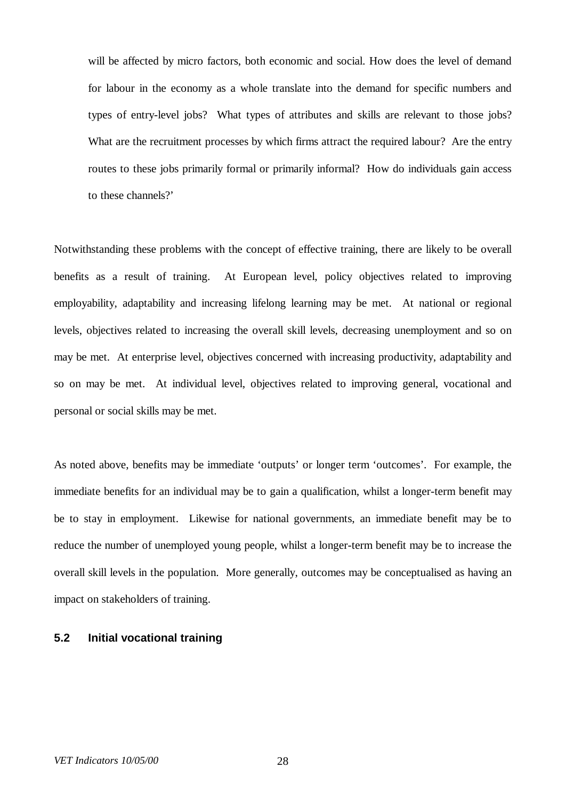will be affected by micro factors, both economic and social. How does the level of demand for labour in the economy as a whole translate into the demand for specific numbers and types of entry-level jobs? What types of attributes and skills are relevant to those jobs? What are the recruitment processes by which firms attract the required labour? Are the entry routes to these jobs primarily formal or primarily informal? How do individuals gain access to these channels?'

Notwithstanding these problems with the concept of effective training, there are likely to be overall benefits as a result of training. At European level, policy objectives related to improving employability, adaptability and increasing lifelong learning may be met. At national or regional levels, objectives related to increasing the overall skill levels, decreasing unemployment and so on may be met. At enterprise level, objectives concerned with increasing productivity, adaptability and so on may be met. At individual level, objectives related to improving general, vocational and personal or social skills may be met.

As noted above, benefits may be immediate 'outputs' or longer term 'outcomes'. For example, the immediate benefits for an individual may be to gain a qualification, whilst a longer-term benefit may be to stay in employment. Likewise for national governments, an immediate benefit may be to reduce the number of unemployed young people, whilst a longer-term benefit may be to increase the overall skill levels in the population. More generally, outcomes may be conceptualised as having an impact on stakeholders of training.

### **5.2 Initial vocational training**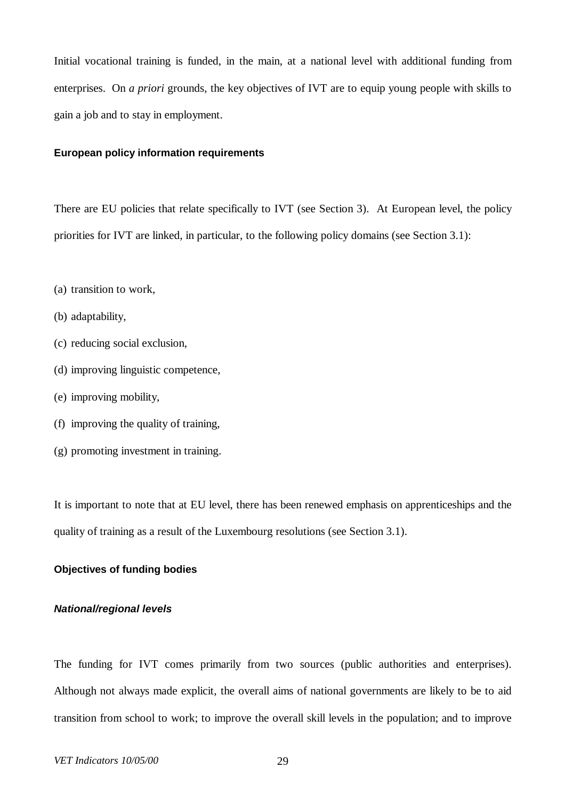Initial vocational training is funded, in the main, at a national level with additional funding from enterprises. On *a priori* grounds, the key objectives of IVT are to equip young people with skills to gain a job and to stay in employment.

### **European policy information requirements**

There are EU policies that relate specifically to IVT (see Section 3). At European level, the policy priorities for IVT are linked, in particular, to the following policy domains (see Section 3.1):

- (a) transition to work,
- (b) adaptability,
- (c) reducing social exclusion,
- (d) improving linguistic competence,
- (e) improving mobility,
- (f) improving the quality of training,
- (g) promoting investment in training.

It is important to note that at EU level, there has been renewed emphasis on apprenticeships and the quality of training as a result of the Luxembourg resolutions (see Section 3.1).

# **Objectives of funding bodies**

### *National/regional levels*

The funding for IVT comes primarily from two sources (public authorities and enterprises). Although not always made explicit, the overall aims of national governments are likely to be to aid transition from school to work; to improve the overall skill levels in the population; and to improve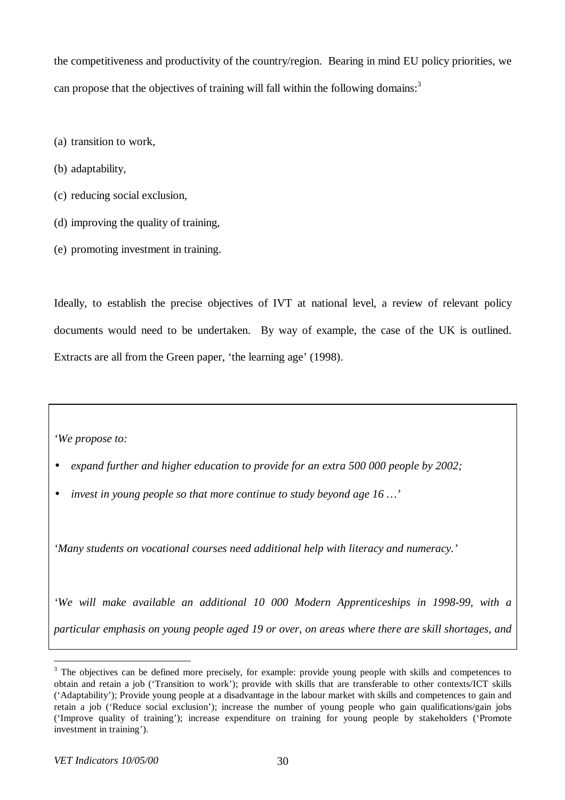the competitiveness and productivity of the country/region. Bearing in mind EU policy priorities, we can propose that the objectives of training will fall within the following domains:<sup>3</sup>

- (a) transition to work,
- (b) adaptability,
- (c) reducing social exclusion,
- (d) improving the quality of training,
- (e) promoting investment in training.

Ideally, to establish the precise objectives of IVT at national level, a review of relevant policy documents would need to be undertaken. By way of example, the case of the UK is outlined. Extracts are all from the Green paper, 'the learning age' (1998).

*'We propose to:*

- *· expand further and higher education to provide for an extra 500 000 people by 2002;*
- *· invest in young people so that more continue to study beyond age 16 … '*

*'Many students on vocational courses need additional help with literacy and numeracy.'*

*'We will make available an additional 10 000 Modern Apprenticeships in 1998-99, with a particular emphasis on young people aged 19 or over, on areas where there are skill shortages, and*

 $\overline{a}$ 

 $3$  The objectives can be defined more precisely, for example: provide young people with skills and competences to obtain and retain a job ('Transition to work'); provide with skills that are transferable to other contexts/ICT skills ('Adaptability'); Provide young people at a disadvantage in the labour market with skills and competences to gain and retain a job ('Reduce social exclusion'); increase the number of young people who gain qualifications/gain jobs ('Improve quality of training'); increase expenditure on training for young people by stakeholders ('Promote investment in training').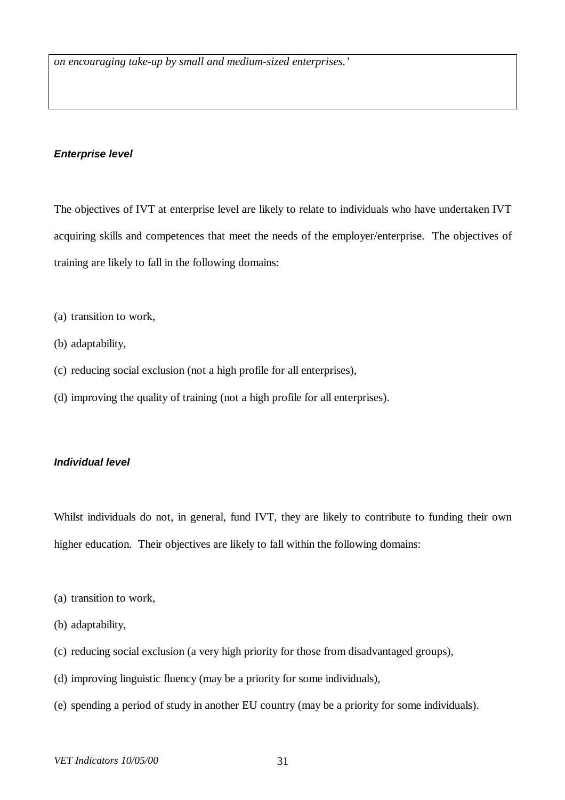# *Enterprise level*

The objectives of IVT at enterprise level are likely to relate to individuals who have undertaken IVT acquiring skills and competences that meet the needs of the employer/enterprise. The objectives of training are likely to fall in the following domains:

- (a) transition to work,
- (b) adaptability,
- (c) reducing social exclusion (not a high profile for all enterprises),
- (d) improving the quality of training (not a high profile for all enterprises).

### *Individual level*

Whilst individuals do not, in general, fund IVT, they are likely to contribute to funding their own higher education. Their objectives are likely to fall within the following domains:

- (a) transition to work,
- (b) adaptability,
- (c) reducing social exclusion (a very high priority for those from disadvantaged groups),
- (d) improving linguistic fluency (may be a priority for some individuals),
- (e) spending a period of study in another EU country (may be a priority for some individuals).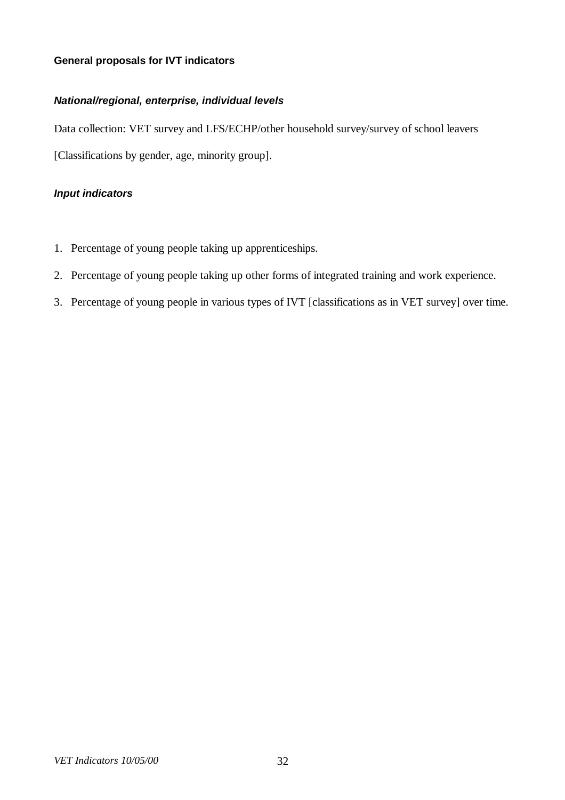# **General proposals for IVT indicators**

# *National/regional, enterprise, individual levels*

Data collection: VET survey and LFS/ECHP/other household survey/survey of school leavers [Classifications by gender, age, minority group].

# *Input indicators*

- 1. Percentage of young people taking up apprenticeships.
- 2. Percentage of young people taking up other forms of integrated training and work experience.
- 3. Percentage of young people in various types of IVT [classifications as in VET survey] over time.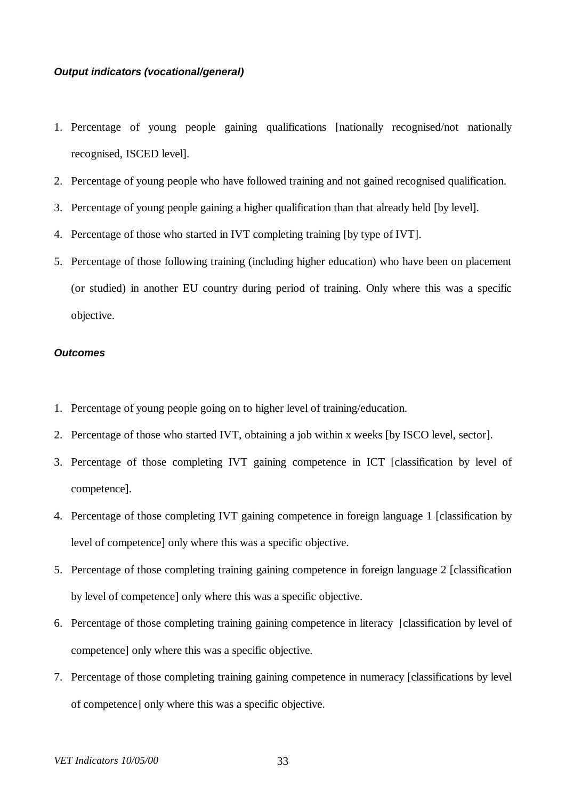### *Output indicators (vocational/general)*

- 1. Percentage of young people gaining qualifications [nationally recognised/not nationally recognised, ISCED level].
- 2. Percentage of young people who have followed training and not gained recognised qualification.
- 3. Percentage of young people gaining a higher qualification than that already held [by level].
- 4. Percentage of those who started in IVT completing training [by type of IVT].
- 5. Percentage of those following training (including higher education) who have been on placement (or studied) in another EU country during period of training. Only where this was a specific objective.

#### *Outcomes*

- 1. Percentage of young people going on to higher level of training/education.
- 2. Percentage of those who started IVT, obtaining a job within x weeks [by ISCO level, sector].
- 3. Percentage of those completing IVT gaining competence in ICT [classification by level of competence].
- 4. Percentage of those completing IVT gaining competence in foreign language 1 [classification by level of competence] only where this was a specific objective.
- 5. Percentage of those completing training gaining competence in foreign language 2 [classification by level of competence] only where this was a specific objective.
- 6. Percentage of those completing training gaining competence in literacy [classification by level of competence] only where this was a specific objective.
- 7. Percentage of those completing training gaining competence in numeracy [classifications by level of competence] only where this was a specific objective.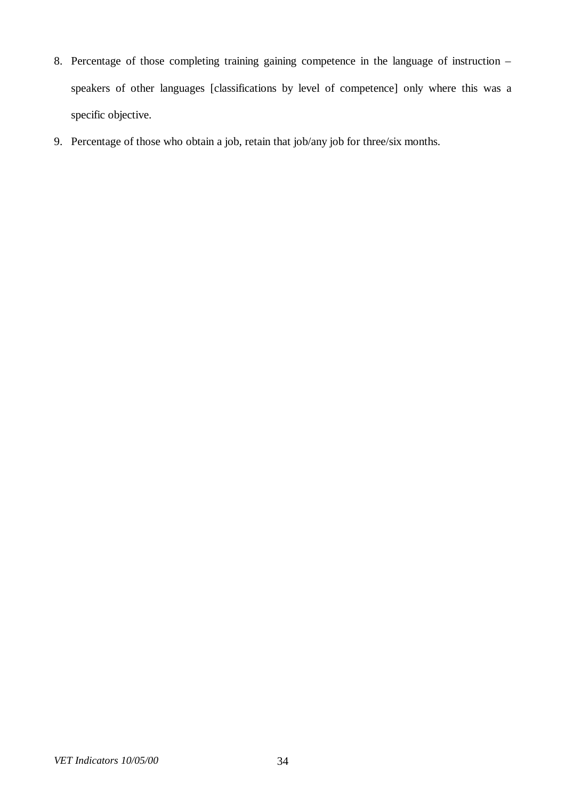- 8. Percentage of those completing training gaining competence in the language of instruction speakers of other languages [classifications by level of competence] only where this was a specific objective.
- 9. Percentage of those who obtain a job, retain that job/any job for three/six months.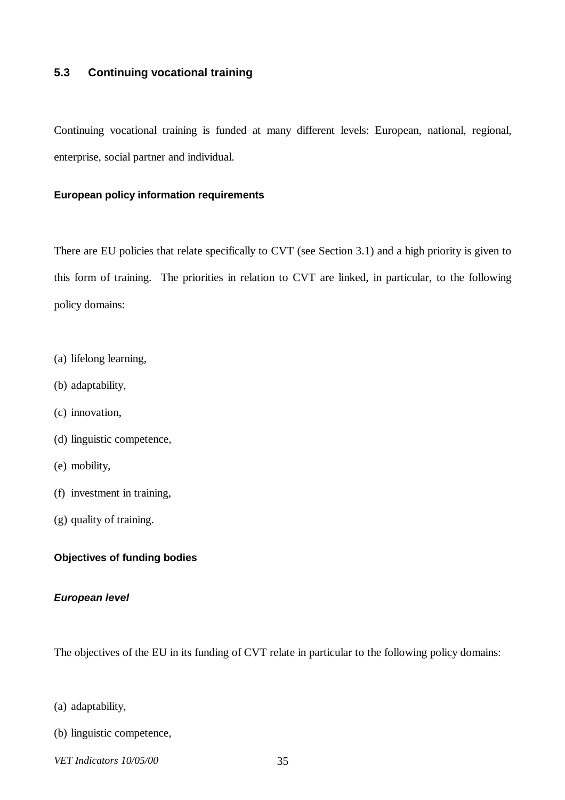# **5.3 Continuing vocational training**

Continuing vocational training is funded at many different levels: European, national, regional, enterprise, social partner and individual.

### **European policy information requirements**

There are EU policies that relate specifically to CVT (see Section 3.1) and a high priority is given to this form of training. The priorities in relation to CVT are linked, in particular, to the following policy domains:

- (a) lifelong learning,
- (b) adaptability,
- (c) innovation,
- (d) linguistic competence,
- (e) mobility,
- (f) investment in training,
- (g) quality of training.

# **Objectives of funding bodies**

### *European level*

The objectives of the EU in its funding of CVT relate in particular to the following policy domains:

- (a) adaptability,
- (b) linguistic competence,
- *VET Indicators 10/05/00* 35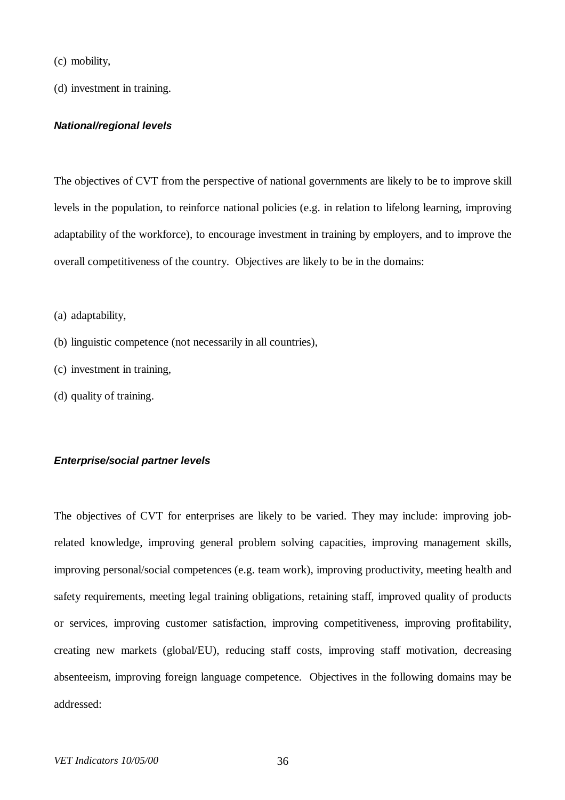- (c) mobility,
- (d) investment in training.

#### *National/regional levels*

The objectives of CVT from the perspective of national governments are likely to be to improve skill levels in the population, to reinforce national policies (e.g. in relation to lifelong learning, improving adaptability of the workforce), to encourage investment in training by employers, and to improve the overall competitiveness of the country. Objectives are likely to be in the domains:

- (a) adaptability,
- (b) linguistic competence (not necessarily in all countries),
- (c) investment in training,
- (d) quality of training.

#### *Enterprise/social partner levels*

The objectives of CVT for enterprises are likely to be varied. They may include: improving jobrelated knowledge, improving general problem solving capacities, improving management skills, improving personal/social competences (e.g. team work), improving productivity, meeting health and safety requirements, meeting legal training obligations, retaining staff, improved quality of products or services, improving customer satisfaction, improving competitiveness, improving profitability, creating new markets (global/EU), reducing staff costs, improving staff motivation, decreasing absenteeism, improving foreign language competence. Objectives in the following domains may be addressed: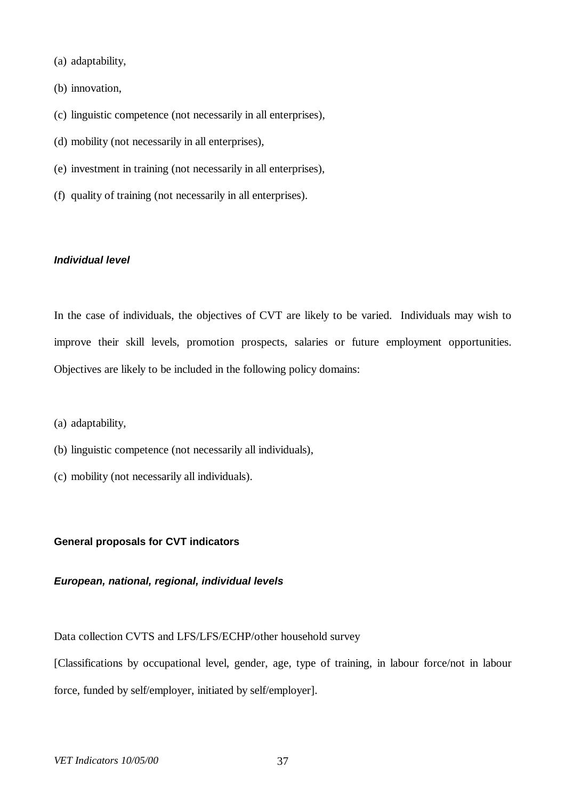- (a) adaptability,
- (b) innovation,
- (c) linguistic competence (not necessarily in all enterprises),
- (d) mobility (not necessarily in all enterprises),
- (e) investment in training (not necessarily in all enterprises),
- (f) quality of training (not necessarily in all enterprises).

### *Individual level*

In the case of individuals, the objectives of CVT are likely to be varied. Individuals may wish to improve their skill levels, promotion prospects, salaries or future employment opportunities. Objectives are likely to be included in the following policy domains:

- (a) adaptability,
- (b) linguistic competence (not necessarily all individuals),
- (c) mobility (not necessarily all individuals).

#### **General proposals for CVT indicators**

#### *European, national, regional, individual levels*

Data collection CVTS and LFS/LFS/ECHP/other household survey

[Classifications by occupational level, gender, age, type of training, in labour force/not in labour force, funded by self/employer, initiated by self/employer].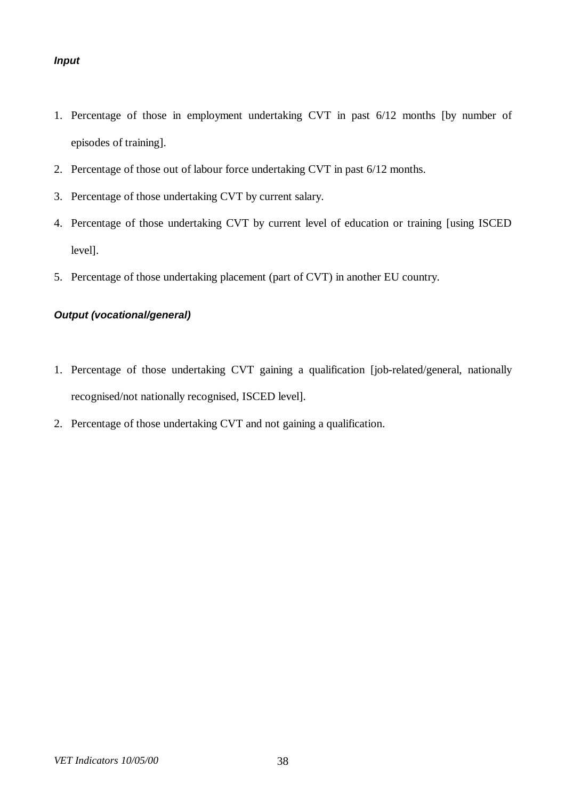# *Input*

- 1. Percentage of those in employment undertaking CVT in past 6/12 months [by number of episodes of training].
- 2. Percentage of those out of labour force undertaking CVT in past 6/12 months.
- 3. Percentage of those undertaking CVT by current salary.
- 4. Percentage of those undertaking CVT by current level of education or training [using ISCED level].
- 5. Percentage of those undertaking placement (part of CVT) in another EU country.

### *Output (vocational/general)*

- 1. Percentage of those undertaking CVT gaining a qualification [job-related/general, nationally recognised/not nationally recognised, ISCED level].
- 2. Percentage of those undertaking CVT and not gaining a qualification.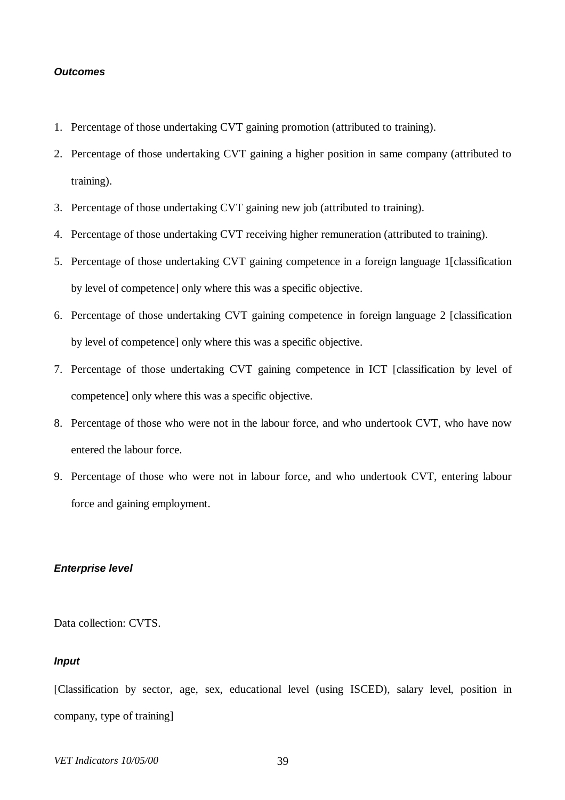#### *Outcomes*

- 1. Percentage of those undertaking CVT gaining promotion (attributed to training).
- 2. Percentage of those undertaking CVT gaining a higher position in same company (attributed to training).
- 3. Percentage of those undertaking CVT gaining new job (attributed to training).
- 4. Percentage of those undertaking CVT receiving higher remuneration (attributed to training).
- 5. Percentage of those undertaking CVT gaining competence in a foreign language 1[classification by level of competence] only where this was a specific objective.
- 6. Percentage of those undertaking CVT gaining competence in foreign language 2 [classification by level of competence] only where this was a specific objective.
- 7. Percentage of those undertaking CVT gaining competence in ICT [classification by level of competence] only where this was a specific objective.
- 8. Percentage of those who were not in the labour force, and who undertook CVT, who have now entered the labour force.
- 9. Percentage of those who were not in labour force, and who undertook CVT, entering labour force and gaining employment.

### *Enterprise level*

Data collection: CVTS.

### *Input*

[Classification by sector, age, sex, educational level (using ISCED), salary level, position in company, type of training]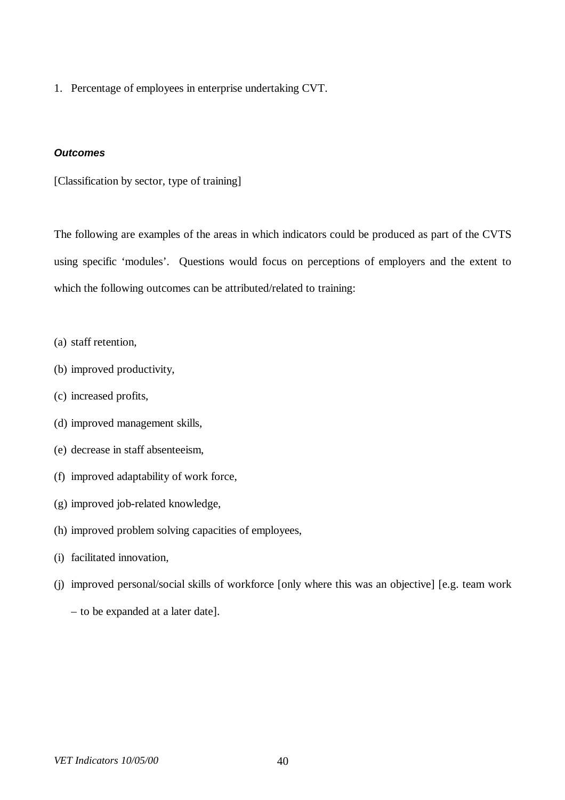1. Percentage of employees in enterprise undertaking CVT.

#### *Outcomes*

[Classification by sector, type of training]

The following are examples of the areas in which indicators could be produced as part of the CVTS using specific 'modules'. Questions would focus on perceptions of employers and the extent to which the following outcomes can be attributed/related to training:

- (a) staff retention,
- (b) improved productivity,
- (c) increased profits,
- (d) improved management skills,
- (e) decrease in staff absenteeism,
- (f) improved adaptability of work force,
- (g) improved job-related knowledge,
- (h) improved problem solving capacities of employees,
- (i) facilitated innovation,
- (j) improved personal/social skills of workforce [only where this was an objective] [e.g. team work
	- to be expanded at a later date].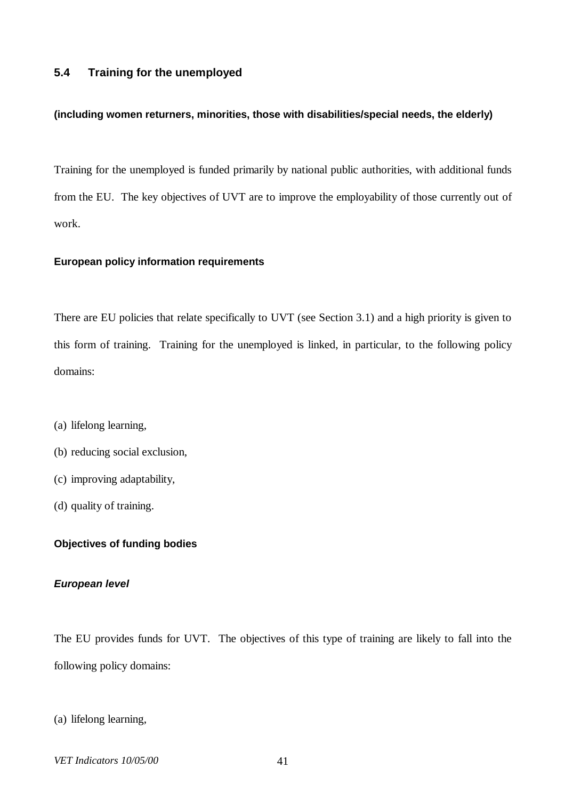## **5.4 Training for the unemployed**

#### **(including women returners, minorities, those with disabilities/special needs, the elderly)**

Training for the unemployed is funded primarily by national public authorities, with additional funds from the EU. The key objectives of UVT are to improve the employability of those currently out of work.

### **European policy information requirements**

There are EU policies that relate specifically to UVT (see Section 3.1) and a high priority is given to this form of training. Training for the unemployed is linked, in particular, to the following policy domains:

- (a) lifelong learning,
- (b) reducing social exclusion,
- (c) improving adaptability,
- (d) quality of training.

### **Objectives of funding bodies**

#### *European level*

The EU provides funds for UVT. The objectives of this type of training are likely to fall into the following policy domains:

(a) lifelong learning,

*VET Indicators 10/05/00* 41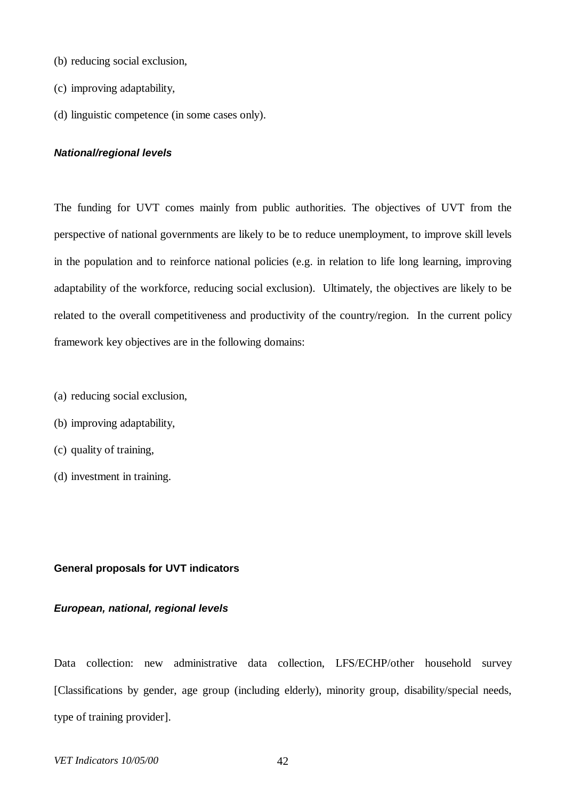- (b) reducing social exclusion,
- (c) improving adaptability,
- (d) linguistic competence (in some cases only).

### *National/regional levels*

The funding for UVT comes mainly from public authorities. The objectives of UVT from the perspective of national governments are likely to be to reduce unemployment, to improve skill levels in the population and to reinforce national policies (e.g. in relation to life long learning, improving adaptability of the workforce, reducing social exclusion). Ultimately, the objectives are likely to be related to the overall competitiveness and productivity of the country/region. In the current policy framework key objectives are in the following domains:

- (a) reducing social exclusion,
- (b) improving adaptability,
- (c) quality of training,
- (d) investment in training.

#### **General proposals for UVT indicators**

### *European, national, regional levels*

Data collection: new administrative data collection, LFS/ECHP/other household survey [Classifications by gender, age group (including elderly), minority group, disability/special needs, type of training provider].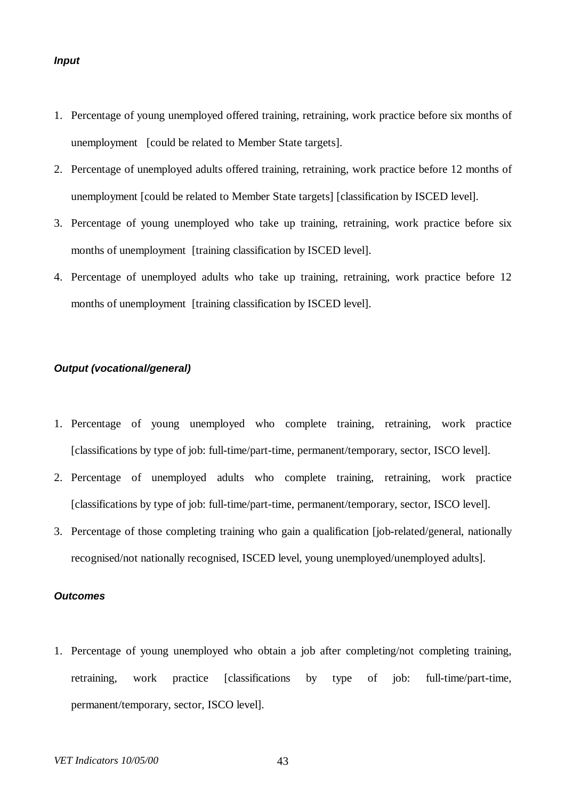#### *Input*

- 1. Percentage of young unemployed offered training, retraining, work practice before six months of unemployment [could be related to Member State targets].
- 2. Percentage of unemployed adults offered training, retraining, work practice before 12 months of unemployment [could be related to Member State targets] [classification by ISCED level].
- 3. Percentage of young unemployed who take up training, retraining, work practice before six months of unemployment [training classification by ISCED level].
- 4. Percentage of unemployed adults who take up training, retraining, work practice before 12 months of unemployment [training classification by ISCED level].

## *Output (vocational/general)*

- 1. Percentage of young unemployed who complete training, retraining, work practice [classifications by type of job: full-time/part-time, permanent/temporary, sector, ISCO level].
- 2. Percentage of unemployed adults who complete training, retraining, work practice [classifications by type of job: full-time/part-time, permanent/temporary, sector, ISCO level].
- 3. Percentage of those completing training who gain a qualification [job-related/general, nationally recognised/not nationally recognised, ISCED level, young unemployed/unemployed adults].

#### *Outcomes*

1. Percentage of young unemployed who obtain a job after completing/not completing training, retraining, work practice [classifications by type of job: full-time/part-time, permanent/temporary, sector, ISCO level].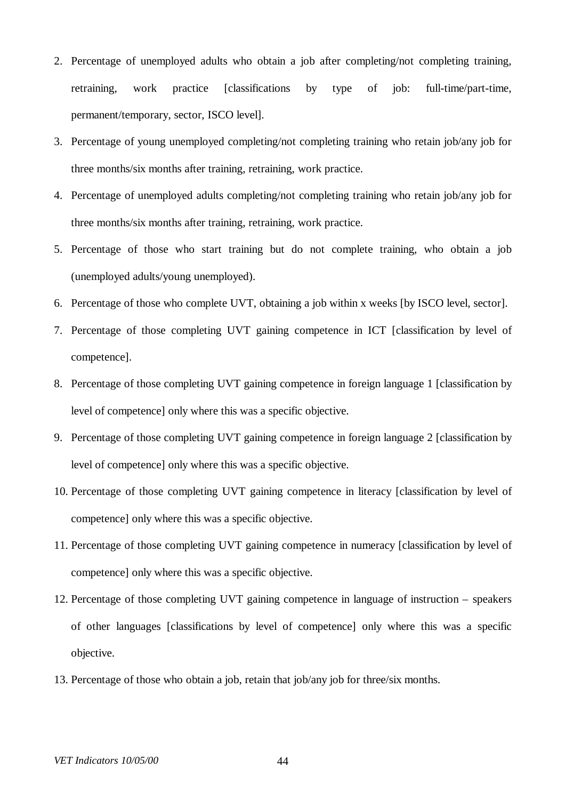- 2. Percentage of unemployed adults who obtain a job after completing/not completing training, retraining, work practice [classifications by type of job: full-time/part-time, permanent/temporary, sector, ISCO level].
- 3. Percentage of young unemployed completing/not completing training who retain job/any job for three months/six months after training, retraining, work practice.
- 4. Percentage of unemployed adults completing/not completing training who retain job/any job for three months/six months after training, retraining, work practice.
- 5. Percentage of those who start training but do not complete training, who obtain a job (unemployed adults/young unemployed).
- 6. Percentage of those who complete UVT, obtaining a job within x weeks [by ISCO level, sector].
- 7. Percentage of those completing UVT gaining competence in ICT [classification by level of competence].
- 8. Percentage of those completing UVT gaining competence in foreign language 1 [classification by level of competence] only where this was a specific objective.
- 9. Percentage of those completing UVT gaining competence in foreign language 2 [classification by level of competence] only where this was a specific objective.
- 10. Percentage of those completing UVT gaining competence in literacy [classification by level of competence] only where this was a specific objective.
- 11. Percentage of those completing UVT gaining competence in numeracy [classification by level of competence] only where this was a specific objective.
- 12. Percentage of those completing UVT gaining competence in language of instruction speakers of other languages [classifications by level of competence] only where this was a specific objective.
- 13. Percentage of those who obtain a job, retain that job/any job for three/six months.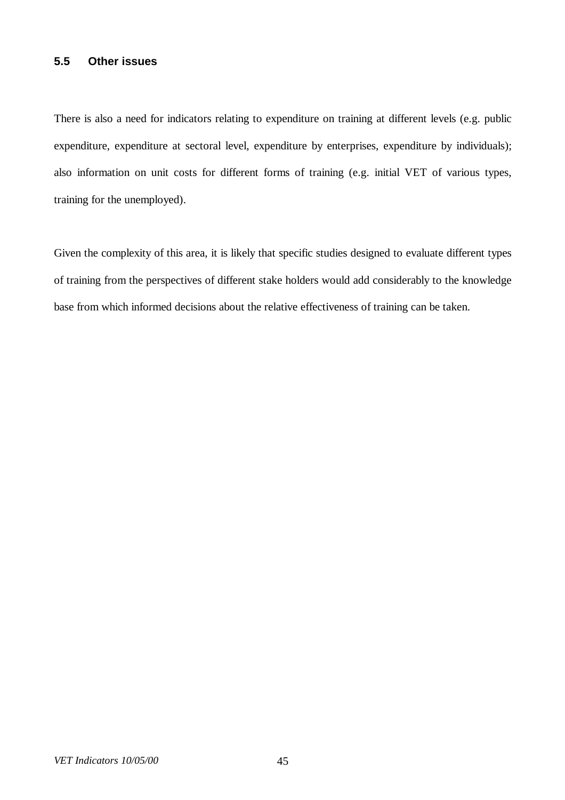# **5.5 Other issues**

There is also a need for indicators relating to expenditure on training at different levels (e.g. public expenditure, expenditure at sectoral level, expenditure by enterprises, expenditure by individuals); also information on unit costs for different forms of training (e.g. initial VET of various types, training for the unemployed).

Given the complexity of this area, it is likely that specific studies designed to evaluate different types of training from the perspectives of different stake holders would add considerably to the knowledge base from which informed decisions about the relative effectiveness of training can be taken.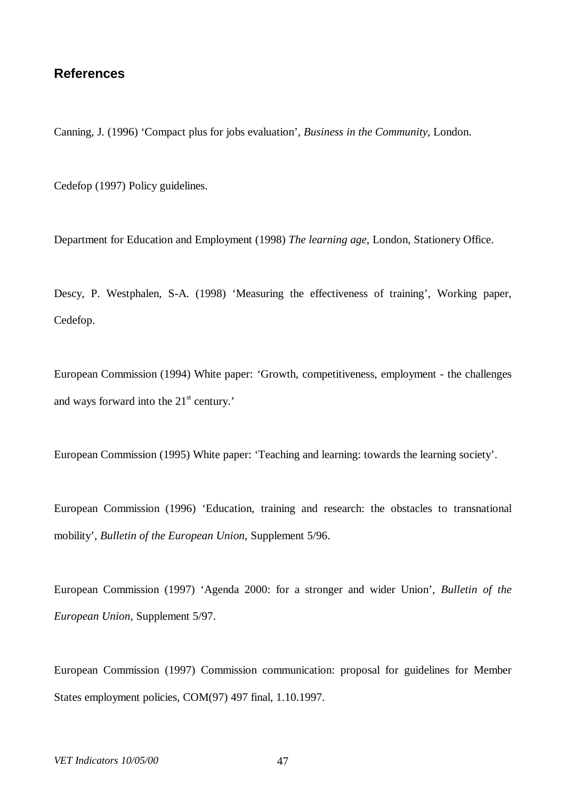# **References**

Canning, J. (1996) 'Compact plus for jobs evaluation', *Business in the Community*, London.

Cedefop (1997) Policy guidelines.

Department for Education and Employment (1998) *The learning age*, London, Stationery Office.

Descy, P. Westphalen, S-A. (1998) 'Measuring the effectiveness of training', Working paper, Cedefop.

European Commission (1994) White paper: 'Growth, competitiveness, employment - the challenges and ways forward into the  $21<sup>st</sup>$  century.'

European Commission (1995) White paper: 'Teaching and learning: towards the learning society'.

European Commission (1996) 'Education, training and research: the obstacles to transnational mobility', *Bulletin of the European Union*, Supplement 5/96.

European Commission (1997) 'Agenda 2000: for a stronger and wider Union'*, Bulletin of the European Union*, Supplement 5/97.

European Commission (1997) Commission communication: proposal for guidelines for Member States employment policies, COM(97) 497 final, 1.10.1997.